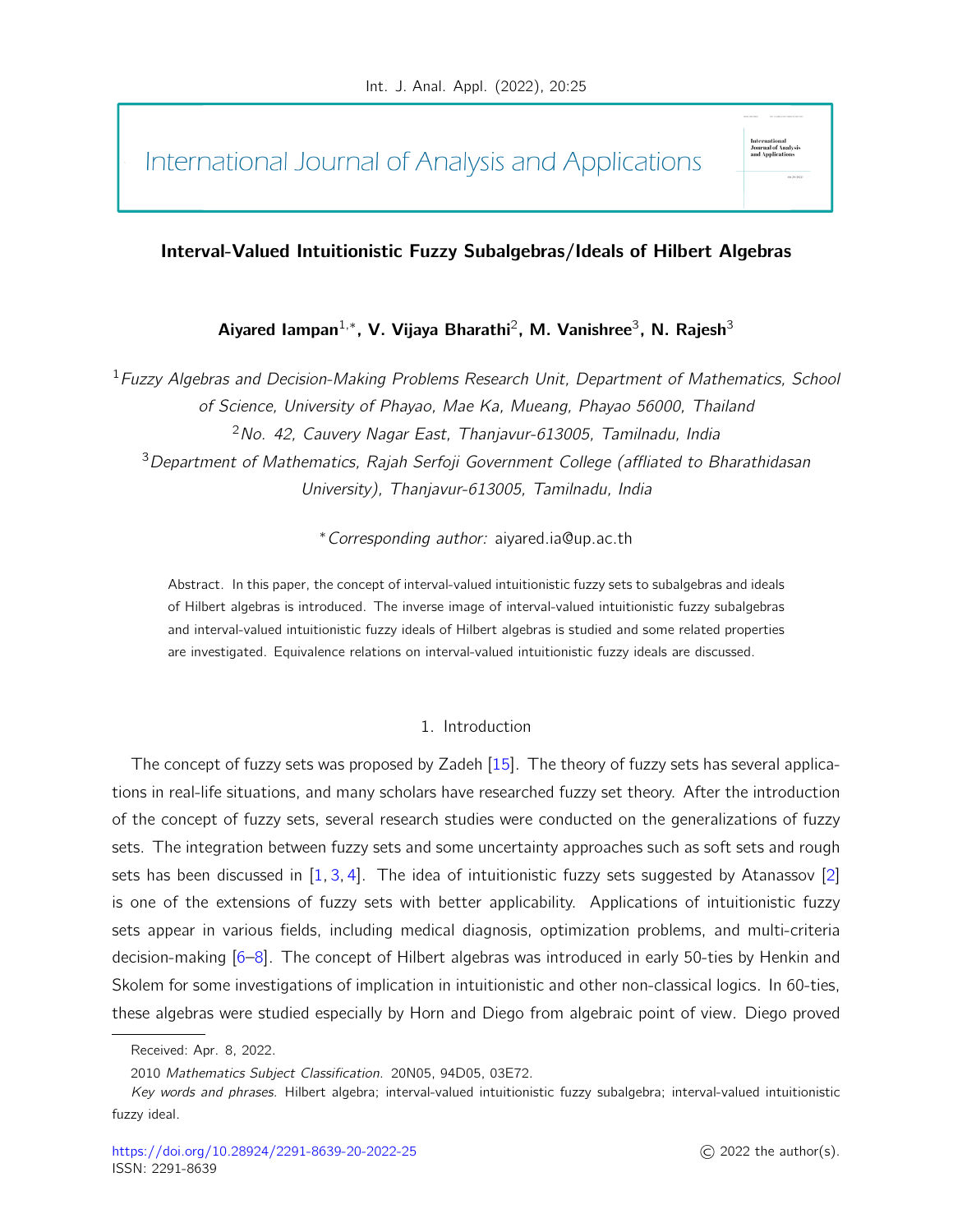International Journal of Analysis and Applications

## Interval-Valued Intuitionistic Fuzzy Subalgebras/Ideals of Hilbert Algebras

Aiyared lampan $^{1,*}$ , V. Vijaya Bharathi<sup>2</sup>, M. Vanishree<sup>3</sup>, N. Rajesh $^3$ 

<sup>1</sup> Fuzzy Algebras and Decision-Making Problems Research Unit, Department of Mathematics, School of Science, University of Phayao, Mae Ka, Mueang, Phayao 56000, Thailand <sup>2</sup>No. 42, Cauvery Nagar East, Thanjavur-613005, Tamilnadu, India <sup>3</sup> Department of Mathematics, Rajah Serfoji Government College (affliated to Bharathidasan University), Thanjavur-613005, Tamilnadu, India

<sup>∗</sup>Corresponding author: aiyared.ia@up.ac.th

Abstract. In this paper, the concept of interval-valued intuitionistic fuzzy sets to subalgebras and ideals of Hilbert algebras is introduced. The inverse image of interval-valued intuitionistic fuzzy subalgebras and interval-valued intuitionistic fuzzy ideals of Hilbert algebras is studied and some related properties are investigated. Equivalence relations on interval-valued intuitionistic fuzzy ideals are discussed.

#### 1. Introduction

The concept of fuzzy sets was proposed by Zadeh [\[15\]](#page-25-0). The theory of fuzzy sets has several applications in real-life situations, and many scholars have researched fuzzy set theory. After the introduction of the concept of fuzzy sets, several research studies were conducted on the generalizations of fuzzy sets. The integration between fuzzy sets and some uncertainty approaches such as soft sets and rough sets has been discussed in  $[1, 3, 4]$  $[1, 3, 4]$  $[1, 3, 4]$  $[1, 3, 4]$  $[1, 3, 4]$ . The idea of intuitionistic fuzzy sets suggested by Atanassov  $[2]$ is one of the extensions of fuzzy sets with better applicability. Applications of intuitionistic fuzzy sets appear in various fields, including medical diagnosis, optimization problems, and multi-criteria decision-making [\[6–](#page-24-4)[8\]](#page-25-1). The concept of Hilbert algebras was introduced in early 50-ties by Henkin and Skolem for some investigations of implication in intuitionistic and other non-classical logics. In 60-ties, these algebras were studied especially by Horn and Diego from algebraic point of view. Diego proved

International<br>Journal of Analy<br>and Application

Received: Apr. 8, 2022.

<sup>2010</sup> Mathematics Subject Classification. 20N05, 94D05, 03E72.

Key words and phrases. Hilbert algebra; interval-valued intuitionistic fuzzy subalgebra; interval-valued intuitionistic fuzzy ideal.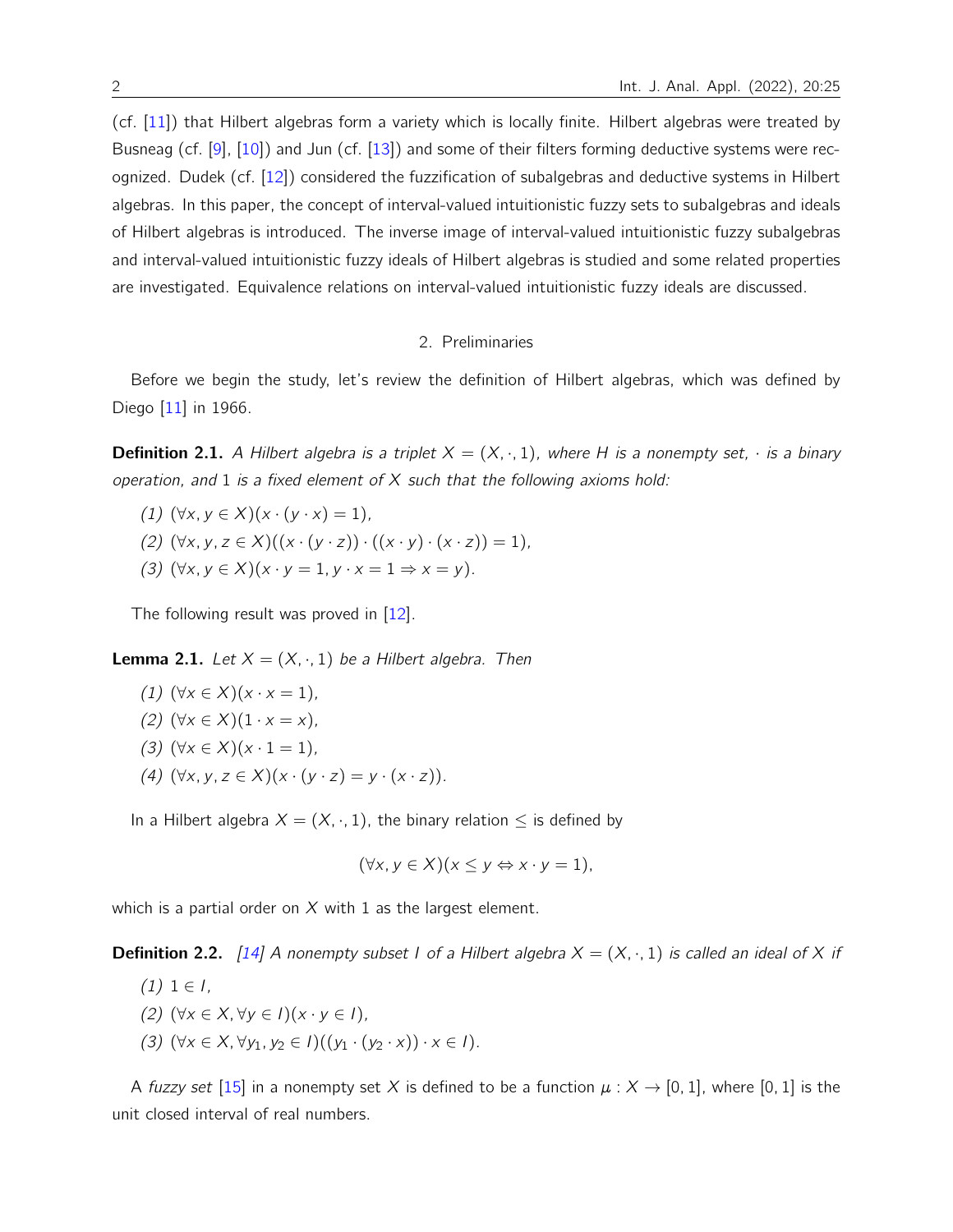(cf. [\[11\]](#page-25-2)) that Hilbert algebras form a variety which is locally finite. Hilbert algebras were treated by Busneag (cf. [\[9\]](#page-25-3), [\[10\]](#page-25-4)) and Jun (cf. [\[13\]](#page-25-5)) and some of their filters forming deductive systems were recognized. Dudek (cf. [\[12\]](#page-25-6)) considered the fuzzification of subalgebras and deductive systems in Hilbert algebras. In this paper, the concept of interval-valued intuitionistic fuzzy sets to subalgebras and ideals of Hilbert algebras is introduced. The inverse image of interval-valued intuitionistic fuzzy subalgebras and interval-valued intuitionistic fuzzy ideals of Hilbert algebras is studied and some related properties are investigated. Equivalence relations on interval-valued intuitionistic fuzzy ideals are discussed.

## 2. Preliminaries

Before we begin the study, let's review the definition of Hilbert algebras, which was defined by Diego [\[11\]](#page-25-2) in 1966.

**Definition 2.1.** A Hilbert algebra is a triplet  $X = (X, \cdot, 1)$ , where H is a nonempty set,  $\cdot$  is a binary operation, and 1 is a fixed element of  $X$  such that the following axioms hold:

- (1)  $(\forall x, y \in X)(x \cdot (y \cdot x) = 1)$ ,
- (2)  $(\forall x, y, z \in X)((x \cdot (y \cdot z)) \cdot ((x \cdot y) \cdot (x \cdot z)) = 1),$
- (3)  $(\forall x, y \in X)(x \cdot y = 1, y \cdot x = 1 \Rightarrow x = y)$ .

The following result was proved in [\[12\]](#page-25-6).

**Lemma 2.1.** Let  $X = (X, \cdot, 1)$  be a Hilbert algebra. Then

(1)  $(\forall x \in X)(x \cdot x = 1)$ , (2)  $(\forall x \in X)(1 \cdot x = x)$ , (3)  $(\forall x \in X)(x \cdot 1 = 1)$ , (4)  $(\forall x, y, z \in X)(x \cdot (y \cdot z) = y \cdot (x \cdot z)).$ 

In a Hilbert algebra  $X = (X, \cdot, 1)$ , the binary relation  $\leq$  is defined by

$$
(\forall x, y \in X)(x \leq y \Leftrightarrow x \cdot y = 1),
$$

which is a partial order on  $X$  with 1 as the largest element.

**Definition 2.2.** [\[14\]](#page-25-7) A nonempty subset I of a Hilbert algebra  $X = (X, \cdot, 1)$  is called an ideal of X if

 $(1)$  1  $\in$  I, (2)  $(\forall x \in X, \forall y \in I)(x \cdot y \in I)$ , (3)  $(\forall x \in X, \forall y_1, y_2 \in I)((y_1 \cdot (y_2 \cdot x)) \cdot x \in I).$ 

A fuzzy set [\[15\]](#page-25-0) in a nonempty set X is defined to be a function  $\mu : X \to [0, 1]$ , where [0, 1] is the unit closed interval of real numbers.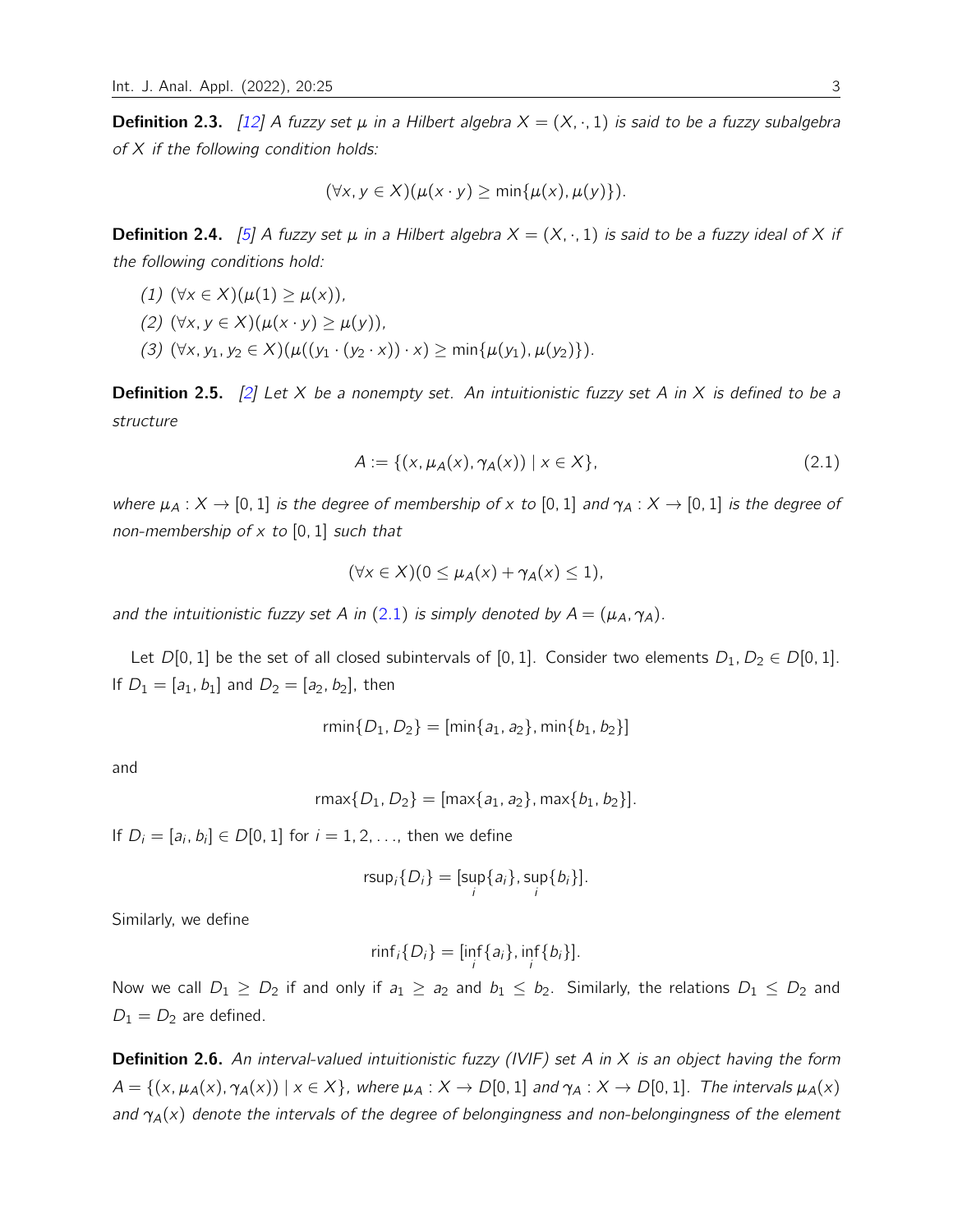**Definition 2.3.** [\[12\]](#page-25-6) A fuzzy set  $\mu$  in a Hilbert algebra  $X = (X, \cdot, 1)$  is said to be a fuzzy subalgebra of X if the following condition holds:

$$
(\forall x, y \in X)(\mu(x \cdot y) \geq \min\{\mu(x), \mu(y)\}).
$$

**Definition 2.4.** [\[5\]](#page-24-5) A fuzzy set  $\mu$  in a Hilbert algebra  $X = (X, \cdot, 1)$  is said to be a fuzzy ideal of X if the following conditions hold:

- (1)  $(\forall x \in X)(\mu(1) > \mu(x)).$
- (2)  $(\forall x, y \in X)(\mu(x \cdot y) \geq \mu(y)),$
- (3)  $(\forall x, y_1, y_2 \in X)(\mu((y_1 \cdot (y_2 \cdot x)) \cdot x) \ge \min{\mu(y_1), \mu(y_2)}).$

**Definition 2.5.** [\[2\]](#page-24-3) Let X be a nonempty set. An intuitionistic fuzzy set A in X is defined to be a structure

<span id="page-2-0"></span>
$$
A := \{ (x, \mu_A(x), \gamma_A(x)) \mid x \in X \},\tag{2.1}
$$

where  $\mu_A : X \to [0, 1]$  is the degree of membership of x to  $[0, 1]$  and  $\gamma_A : X \to [0, 1]$  is the degree of non-membership of  $x$  to [0, 1] such that

$$
(\forall x \in X)(0 \leq \mu_A(x) + \gamma_A(x) \leq 1),
$$

and the intuitionistic fuzzy set A in [\(2.1\)](#page-2-0) is simply denoted by  $A = (\mu_A, \gamma_A)$ .

Let  $D[0, 1]$  be the set of all closed subintervals of [0, 1]. Consider two elements  $D_1, D_2 \in D[0, 1]$ . If  $D_1 = [a_1, b_1]$  and  $D_2 = [a_2, b_2]$ , then

$$
rmin{D1, D2} = [min{a1, a2}, min{b1, b2}]
$$

and

$$
rmax{D_1, D_2} = [max{a_1, a_2}, max{b_1, b_2}].
$$

If  $D_i = [a_i, b_i] \in D[0, 1]$  for  $i = 1, 2, \ldots$ , then we define

$$
rsup_i\{D_i\} = [sup_i\{a_i\}, sup_i\{b_i\}].
$$

Similarly, we define

$$
rinf_i\{D_i\}=[inf_i\{a_i\},inf_i\{b_i\}].
$$

Now we call  $D_1 \geq D_2$  if and only if  $a_1 \geq a_2$  and  $b_1 \leq b_2$ . Similarly, the relations  $D_1 \leq D_2$  and  $D_1 = D_2$  are defined.

**Definition 2.6.** An interval-valued intuitionistic fuzzy (IVIF) set A in X is an object having the form  $A = \{(x, \mu_A(x), \gamma_A(x)) \mid x \in X\}$ , where  $\mu_A : X \to D[0, 1]$  and  $\gamma_A : X \to D[0, 1]$ . The intervals  $\mu_A(x)$ and  $\gamma_A(x)$  denote the intervals of the degree of belongingness and non-belongingness of the element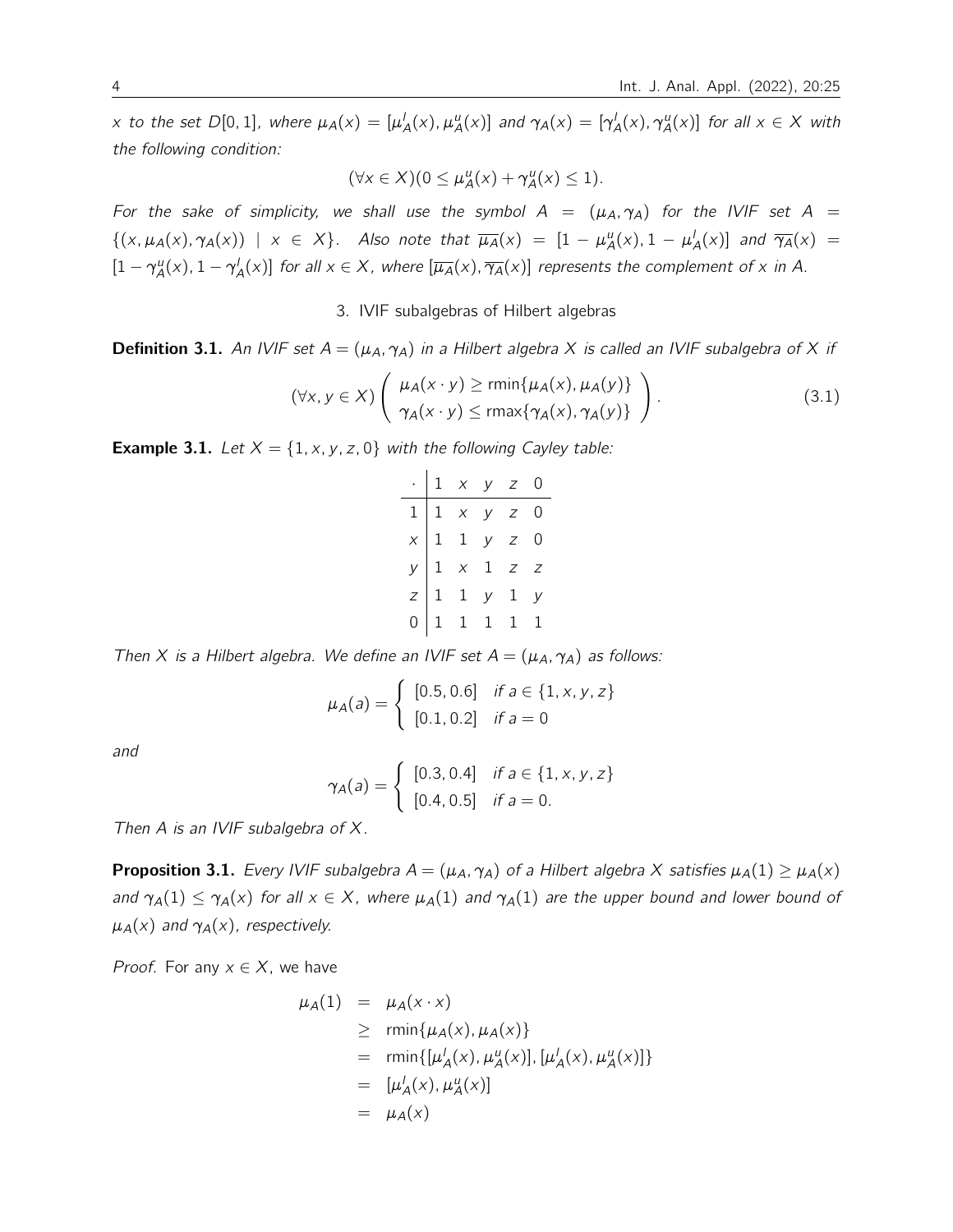x to the set D[0,1], where  $\mu_A(x) = [\mu_A^I(x), \mu_A^u(x)]$  and  $\gamma_A(x) = [\gamma_A^I(x), \gamma_A^u(x)]$  for all  $x \in X$  with the following condition:

$$
(\forall x \in X)(0 \leq \mu^u_A(x) + \gamma^u_A(x) \leq 1).
$$

For the sake of simplicity, we shall use the symbol  $A = (\mu_A, \gamma_A)$  for the IVIF set  $A =$  $\{(x,\mu_A(x),\gamma_A(x)) \mid x \in X\}$ . Also note that  $\overline{\mu_A}(x) = [1 - \mu_A^u(x), 1 - \mu_A^l(x)]$  and  $\overline{\gamma_A}(x) =$  $[1-\gamma_A^u(x), 1-\gamma_A^l(x)]$  for all  $x \in X$ , where  $[\overline{\mu_A}(x), \overline{\gamma_A}(x)]$  represents the complement of x in A.

3. IVIF subalgebras of Hilbert algebras

**Definition 3.1.** An IVIF set  $A = (\mu_A, \gamma_A)$  in a Hilbert algebra X is called an IVIF subalgebra of X if

$$
(\forall x, y \in X) \left( \begin{array}{c} \mu_A(x \cdot y) \ge \min\{\mu_A(x), \mu_A(y)\} \\ \gamma_A(x \cdot y) \le \max\{\gamma_A(x), \gamma_A(y)\} \end{array} \right).
$$
 (3.1)

**Example 3.1.** Let  $X = \{1, x, y, z, 0\}$  with the following Cayley table:

|  | $\cdot$   1 x y z 0                                                                                                                                                    |  |
|--|------------------------------------------------------------------------------------------------------------------------------------------------------------------------|--|
|  |                                                                                                                                                                        |  |
|  | $\begin{array}{c cccccc} 1 & 1 & x & y & z & 0 \\ \hline x & 1 & 1 & y & z & 0 \\ y & 1 & x & 1 & z & z \\ z & 1 & 1 & y & 1 & y \\ 0 & 1 & 1 & 1 & 1 & 1 \end{array}$ |  |
|  |                                                                                                                                                                        |  |
|  |                                                                                                                                                                        |  |
|  |                                                                                                                                                                        |  |

Then X is a Hilbert algebra. We define an IVIF set  $A = (\mu_A, \gamma_A)$  as follows:

$$
\mu_A(a) = \begin{cases} [0.5, 0.6] & \text{if } a \in \{1, x, y, z\} \\ [0.1, 0.2] & \text{if } a = 0 \end{cases}
$$

and

$$
\gamma_A(a) = \begin{cases} [0.3, 0.4] & \text{if } a \in \{1, x, y, z\} \\ [0.4, 0.5] & \text{if } a = 0. \end{cases}
$$

Then A is an IVIF subalgebra of X.

<span id="page-3-0"></span>**Proposition 3.1.** Every IVIF subalgebra  $A = (\mu_A, \gamma_A)$  of a Hilbert algebra X satisfies  $\mu_A(1) \geq \mu_A(x)$ and  $\gamma_A(1) \leq \gamma_A(x)$  for all  $x \in X$ , where  $\mu_A(1)$  and  $\gamma_A(1)$  are the upper bound and lower bound of  $\mu_A(x)$  and  $\gamma_A(x)$ , respectively.

*Proof.* For any  $x \in X$ , we have

$$
\mu_A(1) = \mu_A(x \cdot x)
$$
  
\n
$$
\ge \min{\mu_A(x), \mu_A(x)}
$$
  
\n
$$
= \min{\mu'_A(x), \mu''_A(x)], [\mu'_A(x), \mu''_A(x)]}
$$
  
\n
$$
= [\mu'_A(x), \mu''_A(x)]
$$
  
\n
$$
= \mu_A(x)
$$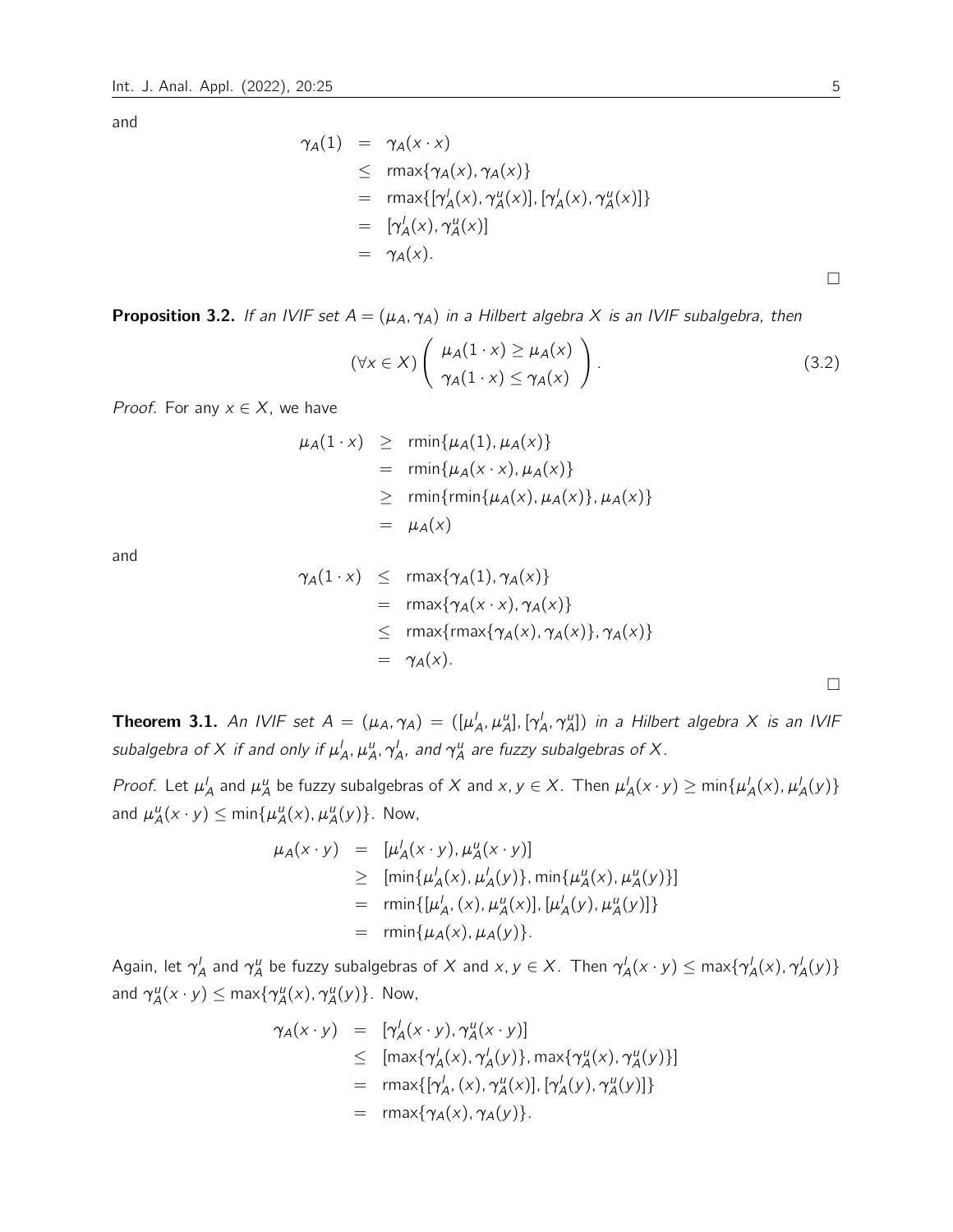and

$$
\gamma_A(1) = \gamma_A(x \cdot x)
$$
  
\n
$$
\leq \max{\gamma_A(x), \gamma_A(x)}
$$
  
\n
$$
= \max{\{\gamma'_A(x), \gamma''_A(x)\}, [\gamma'_A(x), \gamma''_A(x)]\}}
$$
  
\n
$$
= [\gamma'_A(x), \gamma''_A(x)]
$$
  
\n
$$
= \gamma_A(x).
$$

**Proposition 3.2.** If an IVIF set  $A = (\mu_A, \gamma_A)$  in a Hilbert algebra X is an IVIF subalgebra, then

$$
(\forall x \in X) \left( \begin{array}{c} \mu_A(1 \cdot x) \ge \mu_A(x) \\ \gamma_A(1 \cdot x) \le \gamma_A(x) \end{array} \right).
$$
 (3.2)

*Proof.* For any  $x \in X$ , we have

$$
\mu_A(1 \cdot x) \ge \min{\mu_A(1), \mu_A(x)}
$$
  
=  $\min{\mu_A(x \cdot x), \mu_A(x)}$   
 $\ge \min{\min{\mu_A(x), \mu_A(x)}, \mu_A(x)}$   
=  $\mu_A(x)$ 

and

$$
\gamma_A(1 \cdot x) \leq \max{\gamma_A(1), \gamma_A(x)}
$$
  
=  $\max{\gamma_A(x \cdot x), \gamma_A(x)}$   
 $\leq \max{\max{\gamma_A(x), \gamma_A(x)}, \gamma_A(x)}$   
=  $\gamma_A(x)$ .

<span id="page-4-0"></span>**Theorem 3.1.** An IVIF set  $A = (\mu_A, \gamma_A) = ([\mu_A', \mu_A''], [\gamma_A', \gamma_A''])$  in a Hilbert algebra X is an IVIF subalgebra of  $X$  if and only if  $\mu_A^l, \mu_A^u, \gamma_A^l$ , and  $\gamma_A^u$  are fuzzy subalgebras of  $X.$ 

*Proof.* Let  $\mu'_A$  and  $\mu''_A$  be fuzzy subalgebras of X and x,  $y \in X$ . Then  $\mu'_A(x \cdot y) \ge \min\{\mu'_A(x),\mu'_A(y)\}$ and  $\mu_A^u(x \cdot y) \le \min\{\mu_A^u(x), \mu_A^u(y)\}.$  Now,

$$
\mu_A(x \cdot y) = [\mu_A'(x \cdot y), \mu_A'(x \cdot y)]
$$
  
\n
$$
\geq [\min{\mu_A'(x), \mu_A'(y)}, \min{\mu_A''(x), \mu_A''(y)}]
$$
  
\n
$$
= \min{\mu_A', (x), \mu_A'(x)}, [\mu_A'(y), \mu_A''(y)]}
$$
  
\n
$$
= \min{\mu_A(x), \mu_A(y)}.
$$

Again, let  $\gamma_A^l$  and  $\gamma_A^u$  be fuzzy subalgebras of  $X$  and  $x,y\in X$ . Then  $\gamma_A^l(x\cdot y)\leq \max\{\gamma_A^l(x),\gamma_A^l(y)\}$ and  $\gamma_A^u(x \cdot y) \le \max\{\gamma_A^u(x), \gamma_A^u(y)\}.$  Now,

$$
\gamma_A(x \cdot y) = [\gamma_A'(x \cdot y), \gamma_A''(x \cdot y)]
$$
  
\n
$$
\leq [\max{\gamma_A'(x), \gamma_A'(y)}, \max{\gamma_A''(x), \gamma_A''(y)}]
$$
  
\n
$$
= \max{\{\gamma_A', (x), \gamma_A'(x)], [\gamma_A'(y), \gamma_A''(y)]\}}
$$
  
\n
$$
= \max{\{\gamma_A(x), \gamma_A(y)\}}.
$$

 $\Box$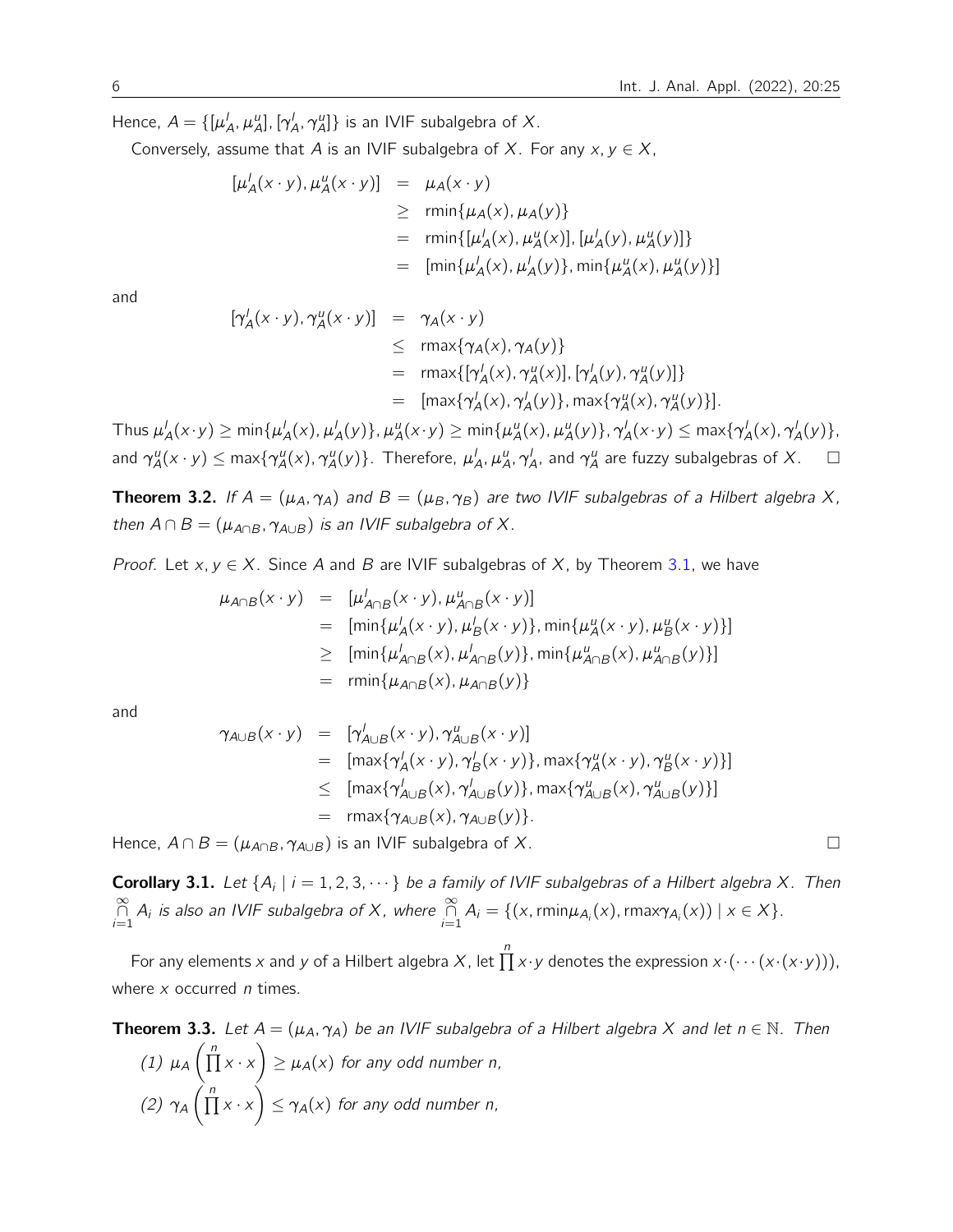Hence,  $A = \{[\mu_A^l, \mu_A^u], [\gamma_A^l, \gamma_A^u]\}$  is an IVIF subalgebra of X.

Conversely, assume that A is an IVIF subalgebra of X. For any  $x, y \in X$ ,

$$
[\mu'_{A}(x \cdot y), \mu''_{A}(x \cdot y)] = \mu_{A}(x \cdot y)
$$
  
\n
$$
\geq \min{\mu_{A}(x), \mu_{A}(y)}
$$
  
\n
$$
= \min{\mu'_{A}(x), \mu''_{A}(x), [\mu'_{A}(y), \mu''_{A}(y)]}
$$
  
\n
$$
= [\min{\mu'_{A}(x), \mu'_{A}(y)}, \min{\mu''_{A}(x), \mu''_{A}(y)}]
$$

and

$$
[\gamma_A'(x \cdot y), \gamma_A'(x \cdot y)] = \gamma_A(x \cdot y)
$$
  
\n
$$
\leq \max{\gamma_A(x), \gamma_A(y)}
$$
  
\n
$$
= \max{\{\gamma_A'(x), \gamma_A'(y)\}, [\gamma_A'(y), \gamma_A''(y)]\}}
$$
  
\n
$$
= [\max{\gamma_A'(x), \gamma_A'(y)}], \max{\gamma_A'(x), \gamma_A''(y)}].
$$

Thus  $\mu_A^l(x \cdot y) \ge \min\{\mu_A^l(x),\mu_A^l(y)\}, \mu_A^u(x \cdot y) \ge \min\{\mu_A^u(x),\mu_A^u(y)\}, \gamma_A^l(x \cdot y) \le \max\{\gamma_A^l(x),\gamma_A^l(y)\},$ and  $\gamma_A^u(x\cdot y)\leq \max\{\gamma_A^u(x),\gamma_A^u(y)\}$ . Therefore,  $\mu_A^l,\mu_A^u,\gamma_A^l$ , and  $\gamma_A^u$  are fuzzy subalgebras of X.  $\quad \Box$ 

**Theorem 3.2.** If  $A = (\mu_A, \gamma_A)$  and  $B = (\mu_B, \gamma_B)$  are two IVIF subalgebras of a Hilbert algebra X, then  $A \cap B = (\mu_{A \cap B}, \gamma_{A \cup B})$  is an IVIF subalgebra of X.

*Proof.* Let  $x, y \in X$ . Since A and B are IVIF subalgebras of X, by Theorem [3.1,](#page-4-0) we have

$$
\mu_{A\cap B}(x \cdot y) = [\mu'_{A\cap B}(x \cdot y), \mu''_{A\cap B}(x \cdot y)]
$$
  
\n
$$
= [\min{\mu'_{A}(x \cdot y), \mu'_{B}(x \cdot y)}], \min{\mu'_{A}(x \cdot y), \mu'_{B}(x \cdot y)}]
$$
  
\n
$$
\geq [\min{\mu'_{A\cap B}(x), \mu'_{A\cap B}(y)}], \min{\mu'_{A\cap B}(x), \mu'_{A\cap B}(y)}]
$$
  
\n
$$
= \min{\mu_{A\cap B}(x), \mu_{A\cap B}(y)}
$$

and

$$
\gamma_{A\cup B}(x \cdot y) = [\gamma'_{A\cup B}(x \cdot y), \gamma'_{A\cup B}(x \cdot y)]
$$
  
\n
$$
= [\max{\gamma'_{A}(x \cdot y), \gamma'_{B}(x \cdot y)}], \max{\gamma'_{A}(x \cdot y), \gamma'_{B}(x \cdot y)}]
$$
  
\n
$$
\leq [\max{\gamma'_{A\cup B}(x), \gamma'_{A\cup B}(y)}], \max{\gamma''_{A\cup B}(x), \gamma''_{A\cup B}(y)}]
$$
  
\n
$$
= \max{\gamma_{A\cup B}(x), \gamma_{A\cup B}(y)}.
$$

Hence,  $A \cap B = (\mu_{A \cap B}, \gamma_{A \cup B})$  is an IVIF subalgebra of X.

**Corollary 3.1.** Let  $\{A_i \mid i = 1, 2, 3, \cdots\}$  be a family of IVIF subalgebras of a Hilbert algebra X. Then  $\bigcap_{i=1}^{\infty} A_i$  is also an IVIF subalgebra of X, where  $\bigcap_{i=1}^{\infty} A_i = \{(x, \text{rmin}\mu_{A_i}(x), \text{rmax}\gamma_{A_i}(x)) \mid x \in X\}.$ 

For any elements x and y of a Hilbert algebra X, let  $\prod_{i=1}^{n} x \cdot y$  denotes the expression  $x \cdot (\cdots (x \cdot (x \cdot y)))$ , where  $x$  occurred  $n$  times.

**Theorem 3.3.** Let 
$$
A = (\mu_A, \gamma_A)
$$
 be an *IVIF subalgebra of a Hilbert algebra* X and let  $n \in \mathbb{N}$ . Then  
\n(1)  $\mu_A \left( \prod_{i=1}^{n} x \cdot x \right) \ge \mu_A(x)$  for any odd number n,  
\n(2)  $\gamma_A \left( \prod_{i=1}^{n} x \cdot x \right) \le \gamma_A(x)$  for any odd number n,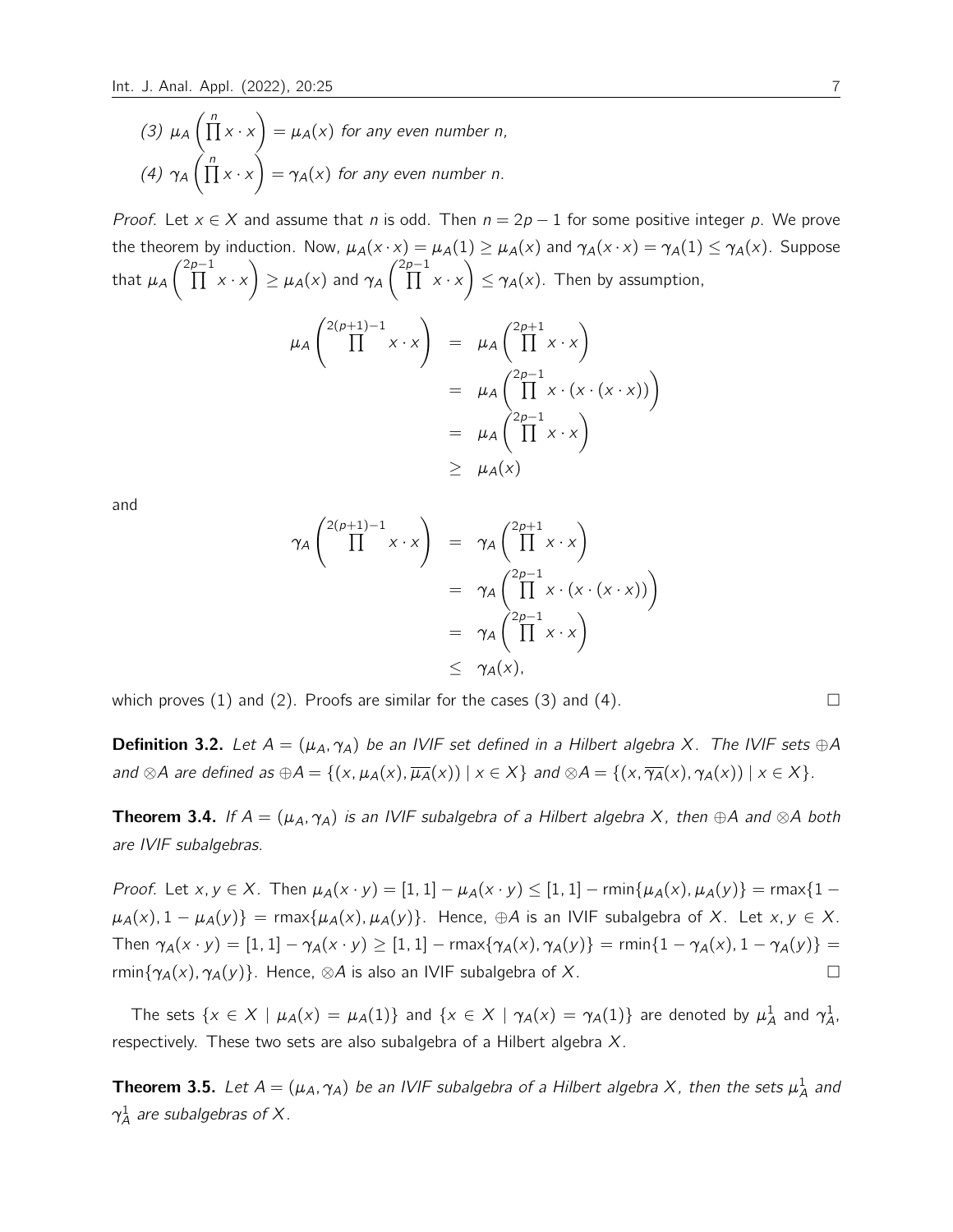(3)  $\mu_A\left(\prod_{i=1}^n x \cdot x\right) = \mu_A(x)$  for any even number n, (4)  $\gamma_A\left(\prod_{i=1}^n x \cdot x\right) = \gamma_A(x)$  for any even number n.

*Proof.* Let  $x \in X$  and assume that n is odd. Then  $n = 2p - 1$  for some positive integer p. We prove the theorem by induction. Now,  $\mu_A(x \cdot x) = \mu_A(1) \geq \mu_A(x)$  and  $\gamma_A(x \cdot x) = \gamma_A(1) \leq \gamma_A(x)$ . Suppose that  $\mu_A$  $\left(\prod^{2p-1} x \cdot x\right) \geq \mu_A(x)$  and  $\gamma_A$  $\left(\prod^{2p-1} x \cdot x\right) \leq \gamma_A(x)$ . Then by assumption,

$$
\mu_A \begin{pmatrix} 2(p+1)-1 \ \prod x \cdot x \end{pmatrix} = \mu_A \begin{pmatrix} 2p+1 \ \prod x \cdot x \end{pmatrix}
$$
  
=  $\mu_A \begin{pmatrix} 2p-1 \ \prod x \cdot (x \cdot (x \cdot x)) \end{pmatrix}$   
=  $\mu_A \begin{pmatrix} 2p-1 \ \prod x \cdot x \end{pmatrix}$   
 $\geq \mu_A(x)$ 

and

$$
\gamma_A \begin{pmatrix} 2(p+1)-1 \\ \prod x \cdot x \end{pmatrix} = \gamma_A \begin{pmatrix} 2p+1 \\ \prod x \cdot x \end{pmatrix}
$$
  
=  $\gamma_A \begin{pmatrix} 2p-1 \\ \prod x \cdot (x \cdot (x \cdot x)) \end{pmatrix}$   
=  $\gamma_A \begin{pmatrix} 2p-1 \\ \prod x \cdot x \end{pmatrix}$   
 $\leq \gamma_A(x),$ 

which proves (1) and (2). Proofs are similar for the cases (3) and (4).  $\Box$ 

**Definition 3.2.** Let  $A = (\mu_A, \gamma_A)$  be an IVIF set defined in a Hilbert algebra X. The IVIF sets  $\oplus A$ and ⊗A are defined as  $\oplus A = \{(x, \mu_A(x), \overline{\mu_A}(x)) \mid x \in X\}$  and  $\otimes A = \{(x, \overline{\gamma_A}(x), \gamma_A(x)) \mid x \in X\}$ .

**Theorem 3.4.** If  $A = (\mu_A, \gamma_A)$  is an IVIF subalgebra of a Hilbert algebra X, then ⊕A and ⊗A both are IVIF subalgebras.

Proof. Let  $x, y \in X$ . Then  $\mu_A(x \cdot y) = [1, 1] - \mu_A(x \cdot y) \leq [1, 1] - \min\{\mu_A(x), \mu_A(y)\} = \max\{1 - \mu_A(y)\}$  $\mu_A(x)$ ,  $1 - \mu_A(y)$ } = rmax{ $\mu_A(x)$ ,  $\mu_A(y)$ }. Hence,  $\oplus A$  is an IVIF subalgebra of X. Let x,  $y \in X$ . Then  $\gamma_A(x \cdot y) = [1, 1] - \gamma_A(x \cdot y) \ge [1, 1] - \max{\gamma_A(x), \gamma_A(y)} = \min{\{1 - \gamma_A(x), 1 - \gamma_A(y)\}}$ rmin{ $\gamma_A(x)$ ,  $\gamma_A(y)$ }. Hence,  $\otimes A$  is also an IVIF subalgebra of X.

The sets  $\{x \in X \mid \mu_A(x) = \mu_A(1)\}$  and  $\{x \in X \mid \gamma_A(x) = \gamma_A(1)\}$  are denoted by  $\mu_A^1$  and  $\gamma_A^1$ , respectively. These two sets are also subalgebra of a Hilbert algebra X.

**Theorem 3.5.** Let  $A = (\mu_A, \gamma_A)$  be an IVIF subalgebra of a Hilbert algebra X, then the sets  $\mu_A^1$  and  $\gamma_A^1$  are subalgebras of X .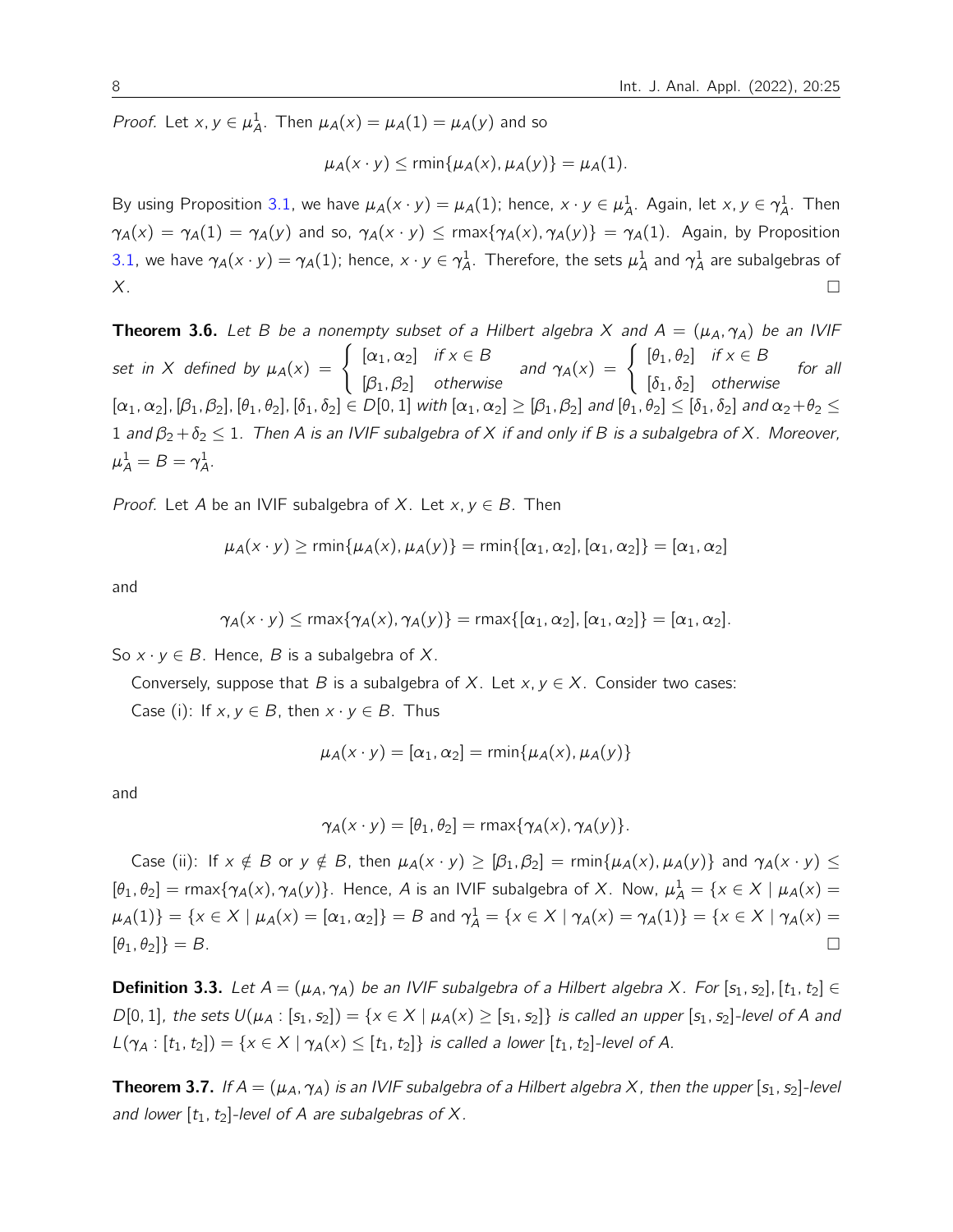*Proof.* Let  $x, y \in \mu_A^1$ . Then  $\mu_A(x) = \mu_A(1) = \mu_A(y)$  and so

$$
\mu_A(x \cdot y) \le \min\{\mu_A(x), \mu_A(y)\} = \mu_A(1).
$$

By using Proposition [3.1,](#page-3-0) we have  $\mu_A(x \cdot y) = \mu_A(1)$ ; hence,  $x \cdot y \in \mu_A^1$ . Again, let  $x, y \in \gamma_A^1$ . Then  $\gamma_A(x) = \gamma_A(1) = \gamma_A(y)$  and so,  $\gamma_A(x \cdot y) \le \text{max}\{\gamma_A(x), \gamma_A(y)\} = \gamma_A(1)$ . Again, by Proposition [3.1,](#page-3-0) we have  $\gamma_A(x\cdot y)=\gamma_A(1)$ ; hence,  $x\cdot y\in\gamma_A^1$ . Therefore, the sets  $\mu_A^1$  and  $\gamma_A^1$  are subalgebras of  $X<sub>z</sub>$ 

**Theorem 3.6.** Let B be a nonempty subset of a Hilbert algebra X and  $A = (\mu_A, \gamma_A)$  be an IVIF set in X defined by  $\mu_A(x) = \begin{cases} [\alpha_1, \alpha_2] & \text{if } x \in B \\ 0 & \text{otherwise} \end{cases}$  $[\beta_1, \beta_2]$  otherwise and  $\gamma_A(x) = \begin{cases} [\theta_1, \theta_2] & \text{if } x \in B \\ 0 & \text{if } x \in B \end{cases}$  $[\delta_1, \delta_2]$  otherwise for all  $[\alpha_1, \alpha_2], [\beta_1, \beta_2], [\theta_1, \theta_2], [\delta_1, \delta_2] \in D[0, 1]$  with  $[\alpha_1, \alpha_2] \geq [\beta_1, \beta_2]$  and  $[\theta_1, \theta_2] \leq [\delta_1, \delta_2]$  and  $\alpha_2 + \theta_2 \leq \theta_2$ 1 and  $\beta_2 + \delta_2 \leq 1$ . Then A is an IVIF subalgebra of X if and only if B is a subalgebra of X. Moreover,  $\mu^1_{\mathcal{A}} = \mathcal{B} = \gamma^1_{\mathcal{A}}.$ 

*Proof.* Let A be an IVIF subalgebra of X. Let  $x, y \in B$ . Then

$$
\mu_A(x \cdot y) \ge \min\{\mu_A(x), \mu_A(y)\} = \min\{[\alpha_1, \alpha_2], [\alpha_1, \alpha_2]\} = [\alpha_1, \alpha_2]
$$

and

$$
\gamma_A(x \cdot y) \leq \max\{\gamma_A(x), \gamma_A(y)\} = \max\{[\alpha_1, \alpha_2], [\alpha_1, \alpha_2]\} = [\alpha_1, \alpha_2].
$$

So  $x \cdot y \in B$ . Hence, B is a subalgebra of X.

Conversely, suppose that B is a subalgebra of X. Let  $x, y \in X$ . Consider two cases:

Case (i): If  $x, y \in B$ , then  $x \cdot y \in B$ . Thus

$$
\mu_A(x \cdot y) = [\alpha_1, \alpha_2] = \min\{\mu_A(x), \mu_A(y)\}\
$$

and

$$
\gamma_A(x \cdot y) = [\theta_1, \theta_2] = \max\{\gamma_A(x), \gamma_A(y)\}.
$$

Case (ii): If  $x \notin B$  or  $y \notin B$ , then  $\mu_A(x \cdot y) \geq [\beta_1, \beta_2] = \min{\{\mu_A(x), \mu_A(y)\}}$  and  $\gamma_A(x \cdot y) \leq$  $[\theta_1, \theta_2] = \max{\gamma_A(x), \gamma_A(y)}$ . Hence, A is an IVIF subalgebra of X. Now,  $\mu_A^1 = \{x \in X \mid \mu_A(x) = 1\}$  $\mu_A(1)$ } = { $x \in X \mid \mu_A(x) = [\alpha_1, \alpha_2]$ } = B and  $\gamma_A^1 = \{x \in X \mid \gamma_A(x) = \gamma_A(1)\} = \{x \in X \mid \gamma_A(x) = \gamma_A(x)\}$  $[\theta_1, \theta_2]\} = B.$ 

**Definition 3.3.** Let  $A = (\mu_A, \gamma_A)$  be an IVIF subalgebra of a Hilbert algebra X. For  $[s_1, s_2], [t_1, t_2] \in$ D[0, 1], the sets  $U(\mu_A : [s_1, s_2]) = \{x \in X \mid \mu_A(x) \geq [s_1, s_2]\}$  is called an upper  $[s_1, s_2]$ -level of A and  $L(\gamma_A : [t_1, t_2]) = \{x \in X \mid \gamma_A(x) \leq [t_1, t_2]\}$  is called a lower  $[t_1, t_2]$ -level of A.

<span id="page-7-0"></span>**Theorem 3.7.** If  $A = (\mu_A, \gamma_A)$  is an IVIF subalgebra of a Hilbert algebra X, then the upper  $[s_1, s_2]$ -level and lower  $[t_1, t_2]$ -level of A are subalgebras of X.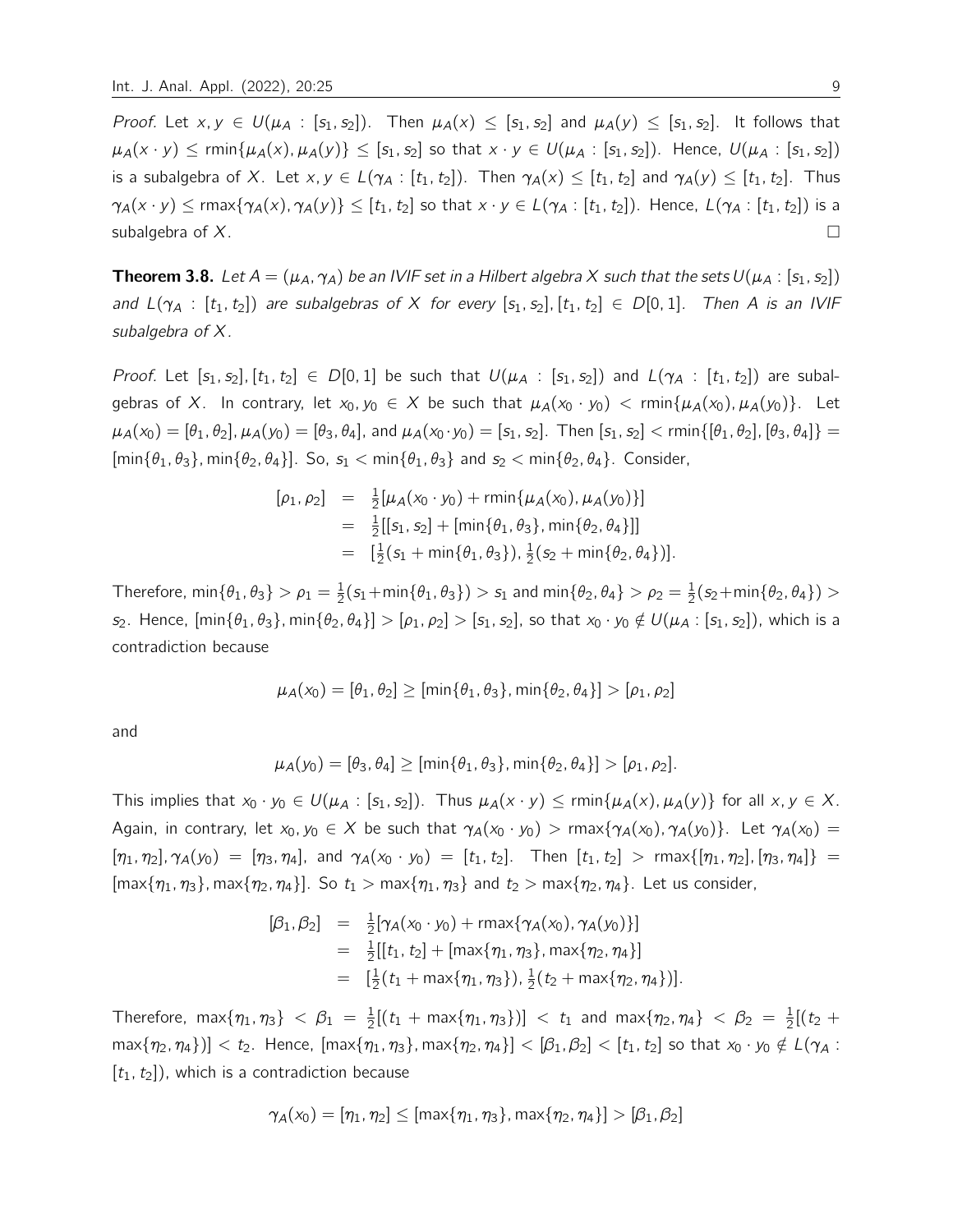Proof. Let  $x, y \in U(\mu_A : [s_1, s_2])$ . Then  $\mu_A(x) \leq [s_1, s_2]$  and  $\mu_A(y) \leq [s_1, s_2]$ . It follows that  $\mu_A(x \cdot y) \le \min\{\mu_A(x), \mu_A(y)\} \le [s_1, s_2]$  so that  $x \cdot y \in U(\mu_A : [s_1, s_2])$ . Hence,  $U(\mu_A : [s_1, s_2])$ is a subalgebra of X. Let  $x, y \in L(\gamma_A : [t_1, t_2])$ . Then  $\gamma_A(x) \leq [t_1, t_2]$  and  $\gamma_A(y) \leq [t_1, t_2]$ . Thus  $\gamma_A(x \cdot y) \le \max\{\gamma_A(x), \gamma_A(y)\} \le [t_1, t_2]$  so that  $x \cdot y \in L(\gamma_A : [t_1, t_2])$ . Hence,  $L(\gamma_A : [t_1, t_2])$  is a subalgebra of X.  $\Box$ 

**Theorem 3.8.** Let  $A = (\mu_A, \gamma_A)$  be an IVIF set in a Hilbert algebra X such that the sets  $U(\mu_A : [s_1, s_2])$ and  $L(\gamma_A : [t_1, t_2])$  are subalgebras of X for every  $[s_1, s_2], [t_1, t_2] \in D[0, 1]$ . Then A is an IVIF subalgebra of X.

Proof. Let  $[s_1, s_2], [t_1, t_2] \in D[0, 1]$  be such that  $U(\mu_A : [s_1, s_2])$  and  $L(\gamma_A : [t_1, t_2])$  are subalgebras of X. In contrary, let  $x_0, y_0 \in X$  be such that  $\mu_A(x_0 \cdot y_0) < \text{rmin}\{\mu_A(x_0), \mu_A(y_0)\}\$ . Let  $\mu_{A}(x_0) = [\theta_1, \theta_2], \mu_{A}(y_0) = [\theta_3, \theta_4],$  and  $\mu_{A}(x_0 \cdot y_0) = [s_1, s_2]$ . Then  $[s_1, s_2] < \text{rmin}\{[\theta_1, \theta_2], [\theta_3, \theta_4]\}$  $[\min{\lbrace \theta_1, \theta_3 \rbrace}, \min{\lbrace \theta_2, \theta_4 \rbrace}]$ . So,  $s_1 < \min{\lbrace \theta_1, \theta_3 \rbrace}$  and  $s_2 < \min{\lbrace \theta_2, \theta_4 \rbrace}$ . Consider,

$$
[\rho_1, \rho_2] = \frac{1}{2} [\mu_A(x_0 \cdot y_0) + \text{rmin}\{\mu_A(x_0), \mu_A(y_0)\}]
$$
  
=  $\frac{1}{2} [[s_1, s_2] + [\text{min}\{\theta_1, \theta_3\}, \text{min}\{\theta_2, \theta_4\}]]$   
=  $[\frac{1}{2}(s_1 + \text{min}\{\theta_1, \theta_3\}), \frac{1}{2}(s_2 + \text{min}\{\theta_2, \theta_4\})].$ 

Therefore,  $\min\{\theta_1, \theta_3\} > \rho_1 = \frac{1}{2}$  $\frac{1}{2}$ (s<sub>1</sub>+min{ $\theta_1$ ,  $\theta_3$ }) > s<sub>1</sub> and min{ $\theta_2$ ,  $\theta_4$ } >  $\rho_2 = \frac{1}{2}$  $\frac{1}{2}(s_2 + \min\{\theta_2, \theta_4\}) >$ s<sub>2</sub>. Hence,  $[\min{\lbrace \theta_1, \theta_3 \rbrace}, \min{\lbrace \theta_2, \theta_4 \rbrace}] > [\rho_1, \rho_2] > [s_1, s_2]$ , so that  $x_0 \cdot y_0 \notin U(\mu_A : [s_1, s_2])$ , which is a contradiction because

$$
\mu_A(x_0) = [\theta_1, \theta_2] \geq [\min{\theta_1, \theta_3}, \min{\theta_2, \theta_4}] > [\rho_1, \rho_2]
$$

and

$$
\mu_A(y_0)=[\theta_3,\theta_4]\geq [\min\{\theta_1,\theta_3\},\min\{\theta_2,\theta_4\}]> [\rho_1,\rho_2].
$$

This implies that  $x_0 \cdot y_0 \in U(\mu_A : [s_1, s_2])$ . Thus  $\mu_A(x \cdot y) \le \min\{\mu_A(x), \mu_A(y)\}\$  for all  $x, y \in X$ . Again, in contrary, let  $x_0, y_0 \in X$  be such that  $\gamma_A(x_0 \cdot y_0) > \max{\gamma_A(x_0), \gamma_A(y_0)}$ . Let  $\gamma_A(x_0) =$  $[\eta_1, \eta_2], \gamma_A(y_0) = [\eta_3, \eta_4],$  and  $\gamma_A(x_0 \cdot y_0) = [t_1, t_2].$  Then  $[t_1, t_2] > \text{rmax}\{[\eta_1, \eta_2], [\eta_3, \eta_4]\} =$  $[\max{\{\eta_1,\eta_3\}},\max{\{\eta_2,\eta_4\}}]$ . So  $t_1 > \max{\{\eta_1,\eta_3\}}$  and  $t_2 > \max{\{\eta_2,\eta_4\}}$ . Let us consider,

$$
[\beta_1, \beta_2] = \frac{1}{2} [\gamma_A(x_0 \cdot y_0) + \text{rmax}\{\gamma_A(x_0), \gamma_A(y_0)\}]
$$
  
=  $\frac{1}{2} [[t_1, t_2] + [\text{max}\{\eta_1, \eta_3\}, \text{max}\{\eta_2, \eta_4\}]$   
=  $[\frac{1}{2}(t_1 + \text{max}\{\eta_1, \eta_3\}), \frac{1}{2}(t_2 + \text{max}\{\eta_2, \eta_4\})].$ 

Therefore, max $\{\eta_1, \eta_3\}$   $\langle \beta_1 = \frac{1}{2}$  $\frac{1}{2}[(t_1 + \max\{\eta_1, \eta_3\})] < t_1$  and  $\max\{\eta_2, \eta_4\} < \beta_2 = \frac{1}{2}$  $\frac{1}{2}[(t_2 +$  $\max\{\eta_2,\eta_4\}$ ]  $< t_2$ . Hence,  $[\max\{\eta_1,\eta_3\},\max\{\eta_2,\eta_4\}] < [\beta_1,\beta_2] < [t_1,t_2]$  so that  $x_0 \cdot y_0 \notin L(\gamma_A :$  $[t_1, t_2]$ , which is a contradiction because

$$
\gamma_A(x_0) = [\eta_1, \eta_2] \leq [\max\{\eta_1, \eta_3\}, \max\{\eta_2, \eta_4\}] > [\beta_1, \beta_2]
$$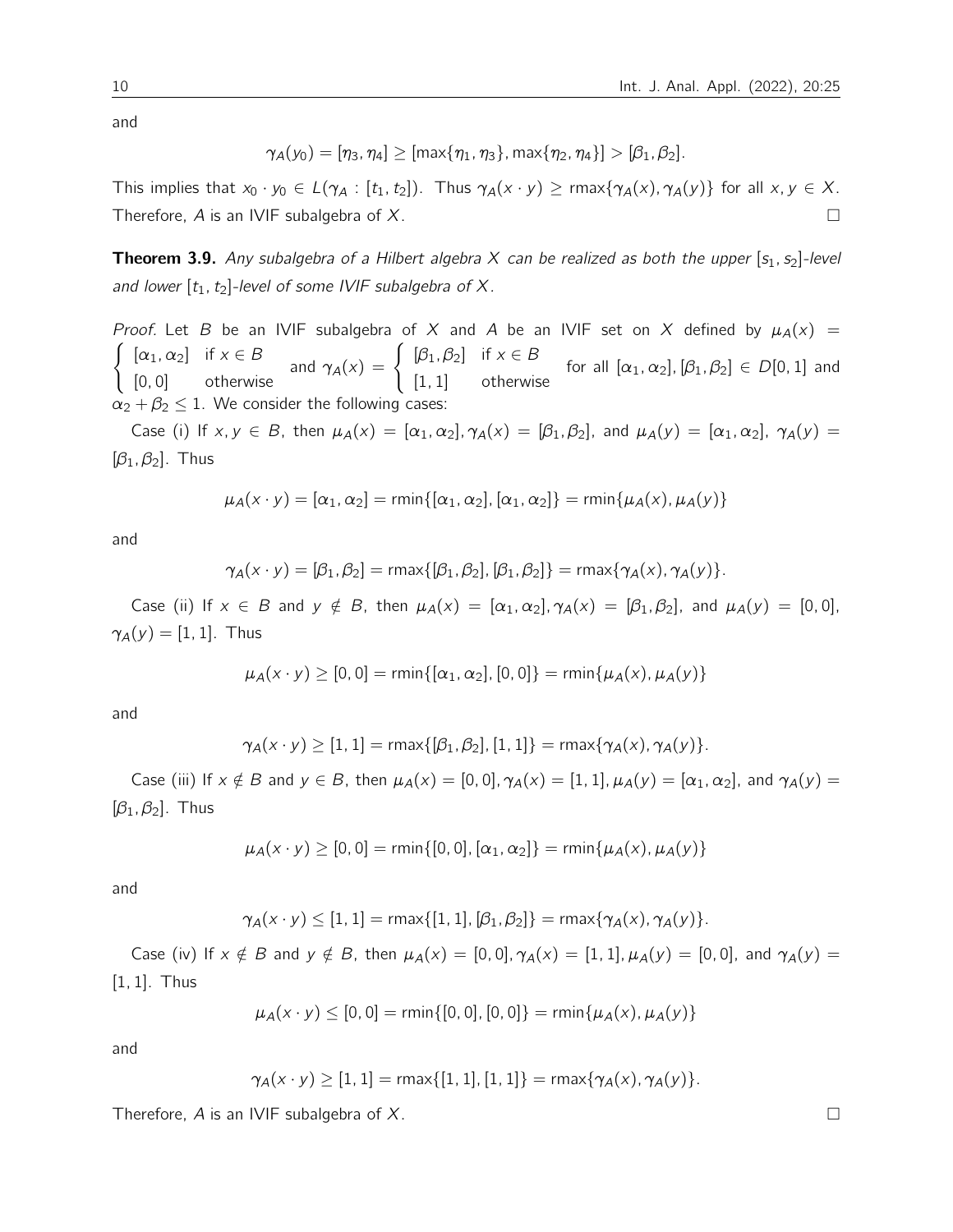and

$$
\gamma_A(y_0) = [\eta_3, \eta_4] \geq [\max\{\eta_1, \eta_3\}, \max\{\eta_2, \eta_4\}] > [\beta_1, \beta_2].
$$

This implies that  $x_0 \cdot y_0 \in L(\gamma_A : [t_1, t_2])$ . Thus  $\gamma_A(x \cdot y) \ge \max{\gamma_A(x), \gamma_A(y)}$  for all  $x, y \in X$ . Therefore, A is an IVIF subalgebra of X.

**Theorem 3.9.** Any subalgebra of a Hilbert algebra X can be realized as both the upper  $[s_1, s_2]$ -level and lower  $[t_1, t_2]$ -level of some IVIF subalgebra of X.

Proof. Let B be an IVIF subalgebra of X and A be an IVIF set on X defined by  $\mu_A(x)$  =  $\int [\alpha_1, \alpha_2]$  if  $x \in B$ [0,0] otherwise and  $\gamma_A(x) = \begin{cases} [\beta_1, \beta_2] & \text{if } x \in B \\ 0 & \text{if } x \in B \end{cases}$ [1, 1] otherwise for all  $[\alpha_1, \alpha_2]$ ,  $[\beta_1, \beta_2] \in D[0, 1]$  and  $\alpha_2 + \beta_2 \leq 1$ . We consider the following cases:

Case (i) If  $x, y \in B$ , then  $\mu_A(x) = [\alpha_1, \alpha_2], \gamma_A(x) = [\beta_1, \beta_2]$ , and  $\mu_A(y) = [\alpha_1, \alpha_2], \gamma_A(y) =$  $[\beta_1, \beta_2]$ . Thus

$$
\mu_A(x \cdot y) = [\alpha_1, \alpha_2] = \min\{[\alpha_1, \alpha_2], [\alpha_1, \alpha_2]\} = \min\{\mu_A(x), \mu_A(y)\}\
$$

and

$$
\gamma_A(x \cdot y) = [\beta_1, \beta_2] = \max\{[\beta_1, \beta_2], [\beta_1, \beta_2]\} = \max\{\gamma_A(x), \gamma_A(y)\}.
$$

Case (ii) If  $x \in B$  and  $y \notin B$ , then  $\mu_A(x) = [\alpha_1, \alpha_2], \gamma_A(x) = [\beta_1, \beta_2]$ , and  $\mu_A(y) = [0, 0]$ ,  $\gamma_A(y) = [1, 1]$ . Thus

$$
\mu_A(x \cdot y) \geq [0, 0] = \min\{[\alpha_1, \alpha_2], [0, 0]\} = \min\{\mu_A(x), \mu_A(y)\}\
$$

and

$$
\gamma_A(x \cdot y) \geq [1, 1] = \max\{[\beta_1, \beta_2], [1, 1]\} = \max\{\gamma_A(x), \gamma_A(y)\}.
$$

Case (iii) If  $x \notin B$  and  $y \in B$ , then  $\mu_A(x) = [0, 0], \gamma_A(x) = [1, 1], \mu_A(y) = [\alpha_1, \alpha_2]$ , and  $\gamma_A(y) =$  $[\beta_1, \beta_2]$ . Thus

$$
\mu_A(x \cdot y) \geq [0, 0] = \min\{[0, 0], [\alpha_1, \alpha_2]\} = \min\{\mu_A(x), \mu_A(y)\}\
$$

and

$$
\gamma_A(x \cdot y) \leq [1, 1] = \max\{[1, 1], [\beta_1, \beta_2]\} = \max\{\gamma_A(x), \gamma_A(y)\}.
$$

Case (iv) If  $x \notin B$  and  $y \notin B$ , then  $\mu_A(x) = [0, 0], \gamma_A(x) = [1, 1], \mu_A(y) = [0, 0]$ , and  $\gamma_A(y) =$ [1, 1]. Thus

$$
\mu_A(x \cdot y) \leq [0, 0] = \min\{[0, 0], [0, 0]\} = \min\{\mu_A(x), \mu_A(y)\}\
$$

and

$$
\gamma_A(x \cdot y) \ge [1, 1] = \max\{[1, 1], [1, 1]\} = \max\{\gamma_A(x), \gamma_A(y)\}.
$$

Therefore, A is an IVIF subalgebra of X.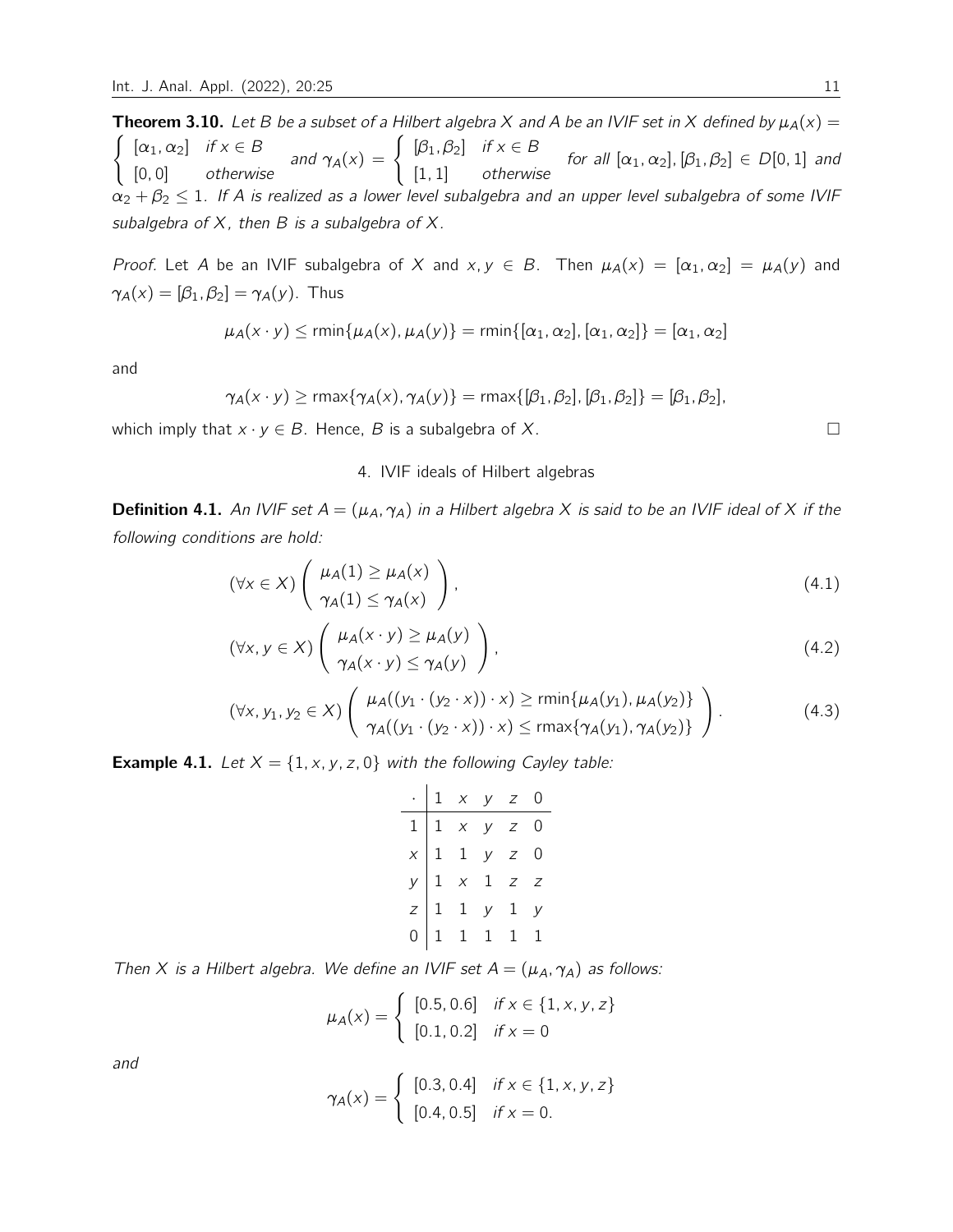**Theorem 3.10.** Let B be a subset of a Hilbert algebra X and A be an IVIF set in X defined by  $\mu_A(x) =$  $\int [\alpha_1, \alpha_2]$  if  $x \in B$ [0,0] otherwise and  $\gamma_A(x) = \begin{cases} [\beta_1, \beta_2] & \text{if } x \in B \\ 0 & \text{if } x \neq 0 \end{cases}$ [1, 1] otherwise for all  $[\alpha_1, \alpha_2]$ ,  $[\beta_1, \beta_2] \in D[0, 1]$  and  $\alpha_2 + \beta_2 \leq 1$ . If A is realized as a lower level subalgebra and an upper level subalgebra of some IVIF subalgebra of  $X$ , then  $B$  is a subalgebra of  $X$ .

Proof. Let A be an IVIF subalgebra of X and  $x, y \in B$ . Then  $\mu_A(x) = [\alpha_1, \alpha_2] = \mu_A(y)$  and  $\gamma_A(x) = [\beta_1, \beta_2] = \gamma_A(y)$ . Thus

$$
\mu_A(x \cdot y) \le \min\{\mu_A(x), \mu_A(y)\} = \min\{[\alpha_1, \alpha_2], [\alpha_1, \alpha_2]\} = [\alpha_1, \alpha_2]
$$

and

$$
\gamma_A(x \cdot y) \geq \max\{\gamma_A(x), \gamma_A(y)\} = \max\{[\beta_1, \beta_2], [\beta_1, \beta_2]\} = [\beta_1, \beta_2],
$$

which imply that  $x \cdot y \in B$ . Hence, B is a subalgebra of X.

## <span id="page-10-2"></span>4. IVIF ideals of Hilbert algebras

**Definition 4.1.** An IVIF set  $A = (\mu_A, \gamma_A)$  in a Hilbert algebra X is said to be an IVIF ideal of X if the following conditions are hold:

$$
(\forall x \in X) \left( \begin{array}{c} \mu_A(1) \ge \mu_A(x) \\ \gamma_A(1) \le \gamma_A(x) \end{array} \right), \tag{4.1}
$$

$$
(\forall x, y \in X) \left( \begin{array}{c} \mu_A(x \cdot y) \ge \mu_A(y) \\ \gamma_A(x \cdot y) \le \gamma_A(y) \end{array} \right), \tag{4.2}
$$

$$
(\forall x, y_1, y_2 \in X) \left( \begin{array}{c} \mu_A((y_1 \cdot (y_2 \cdot x)) \cdot x) \ge \min\{\mu_A(y_1), \mu_A(y_2)\} \\ \gamma_A((y_1 \cdot (y_2 \cdot x)) \cdot x) \le \max\{\gamma_A(y_1), \gamma_A(y_2)\} \end{array} \right). \tag{4.3}
$$

**Example 4.1.** Let  $X = \{1, x, y, z, 0\}$  with the following Cayley table:

<span id="page-10-1"></span><span id="page-10-0"></span>

|  | $\cdot$   1 x y z 0                                                                                                                                                       |  |
|--|---------------------------------------------------------------------------------------------------------------------------------------------------------------------------|--|
|  | $\begin{array}{c cccc} \hline & 1 & x & y & z & 0 \\ \hline x & 1 & 1 & y & z & 0 \\ y & 1 & x & 1 & z & z \\ z & 1 & 1 & y & 1 & y \\ 0 & 1 & 1 & 1 & 1 & 1 \end{array}$ |  |
|  |                                                                                                                                                                           |  |
|  |                                                                                                                                                                           |  |
|  |                                                                                                                                                                           |  |
|  |                                                                                                                                                                           |  |

Then X is a Hilbert algebra. We define an IVIF set  $A = (\mu_A, \gamma_A)$  as follows:

$$
\mu_A(x) = \begin{cases} [0.5, 0.6] & \text{if } x \in \{1, x, y, z\} \\ [0.1, 0.2] & \text{if } x = 0 \end{cases}
$$

and

$$
\gamma_A(x) = \begin{cases} [0.3, 0.4] & \text{if } x \in \{1, x, y, z\} \\ [0.4, 0.5] & \text{if } x = 0. \end{cases}
$$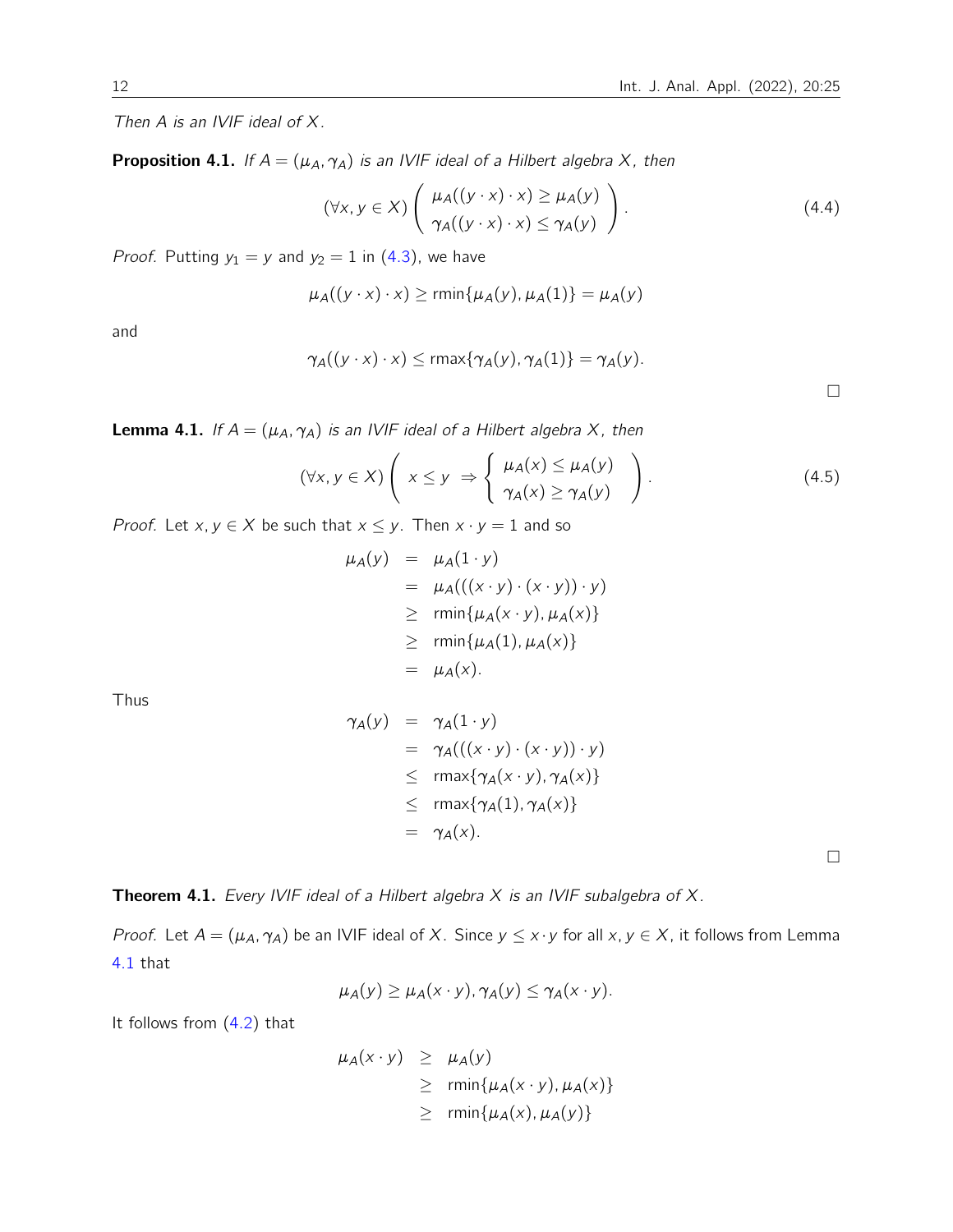Then A is an IVIF ideal of X.

**Proposition 4.1.** If  $A = (\mu_A, \gamma_A)$  is an IVIF ideal of a Hilbert algebra X, then

$$
(\forall x, y \in X) \left( \begin{array}{c} \mu_A((y \cdot x) \cdot x) \ge \mu_A(y) \\ \gamma_A((y \cdot x) \cdot x) \le \gamma_A(y) \end{array} \right).
$$
 (4.4)

*Proof.* Putting  $y_1 = y$  and  $y_2 = 1$  in [\(4.3\)](#page-10-0), we have

$$
\mu_A((y \cdot x) \cdot x) \ge \min\{\mu_A(y), \mu_A(1)\} = \mu_A(y)
$$

and

$$
\gamma_A((y \cdot x) \cdot x) \leq \max\{\gamma_A(y), \gamma_A(1)\} = \gamma_A(y).
$$

 $\Box$ 

 $\Box$ 

<span id="page-11-0"></span>**Lemma 4.1.** If  $A = (\mu_A, \gamma_A)$  is an IVIF ideal of a Hilbert algebra X, then

$$
(\forall x, y \in X) \left( x \leq y \implies \begin{cases} \mu_A(x) \leq \mu_A(y) \\ \gamma_A(x) \geq \gamma_A(y) \end{cases} \right). \tag{4.5}
$$

*Proof.* Let  $x, y \in X$  be such that  $x \leq y$ . Then  $x \cdot y = 1$  and so

$$
\mu_A(y) = \mu_A(1 \cdot y)
$$
  
= 
$$
\mu_A(((x \cdot y) \cdot (x \cdot y)) \cdot y)
$$
  

$$
\ge \min{\mu_A(x \cdot y), \mu_A(x)}
$$
  

$$
\ge \min{\mu_A(1), \mu_A(x)}
$$
  
= 
$$
\mu_A(x).
$$

Thus

$$
\gamma_A(y) = \gamma_A(1 \cdot y)
$$
  
=  $\gamma_A(((x \cdot y) \cdot (x \cdot y)) \cdot y)$   
 $\leq \max{\gamma_A(x \cdot y), \gamma_A(x)}$   
 $\leq \max{\gamma_A(1), \gamma_A(x)}$   
=  $\gamma_A(x)$ .

Theorem 4.1. Every IVIF ideal of a Hilbert algebra  $X$  is an IVIF subalgebra of  $X$ .

*Proof.* Let  $A = (\mu_A, \gamma_A)$  be an IVIF ideal of X. Since  $y \le x \cdot y$  for all  $x, y \in X$ , it follows from Lemma [4.1](#page-11-0) that

$$
\mu_A(y) \geq \mu_A(x \cdot y), \gamma_A(y) \leq \gamma_A(x \cdot y).
$$

It follows from  $(4.2)$  that

$$
\mu_A(x \cdot y) \geq \mu_A(y)
$$
  
\n
$$
\geq \min{\mu_A(x \cdot y), \mu_A(x)}
$$
  
\n
$$
\geq \min{\mu_A(x), \mu_A(y)}
$$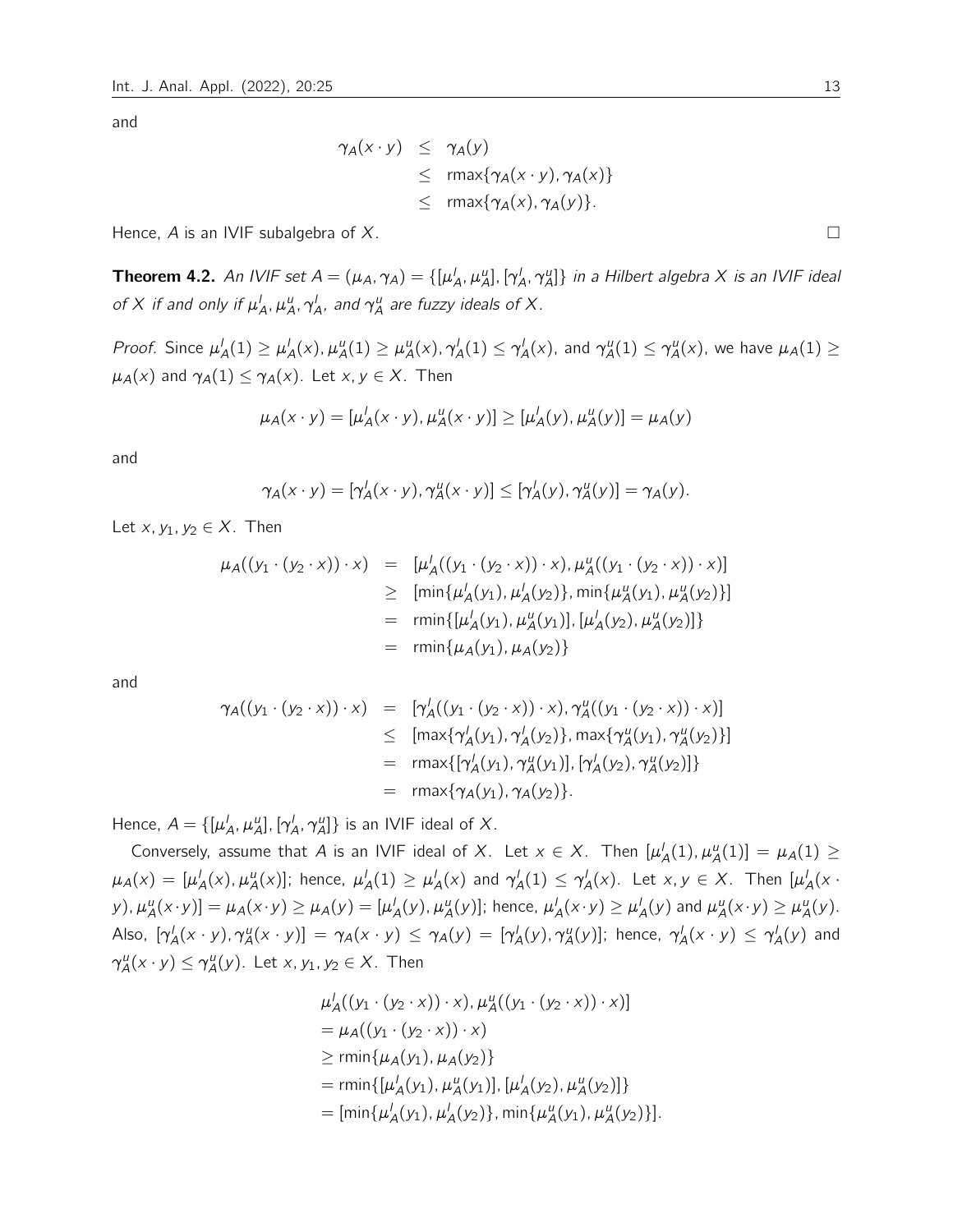and

$$
\gamma_A(x \cdot y) \leq \gamma_A(y)
$$
  
\n
$$
\leq \max{\gamma_A(x \cdot y), \gamma_A(x)}
$$
  
\n
$$
\leq \max{\gamma_A(x), \gamma_A(y)}.
$$

Hence, A is an IVIF subalgebra of X.

**Theorem 4.2.** An IVIF set  $A=(\mu_A,\gamma_A)=\{[\mu_A^I,\mu_A^u],[\gamma_A^I,\gamma_A^u]\}$  in a Hilbert algebra X is an IVIF ideal of X if and only if  $\mu_A^l$ ,  $\mu_A^u$ ,  $\gamma_A^l$ , and  $\gamma_A^u$  are fuzzy ideals of X.

*Proof.* Since  $\mu_A^l(1) \ge \mu_A^l(x)$ ,  $\mu_A^u(1) \ge \mu_A^u(x)$ ,  $\gamma_A^l(1) \le \gamma_A^l(x)$ , and  $\gamma_A^u(1) \le \gamma_A^u(x)$ , we have  $\mu_A(1) \ge$  $\mu_A(x)$  and  $\gamma_A(1) \leq \gamma_A(x)$ . Let  $x, y \in X$ . Then

$$
\mu_A(x \cdot y) = [\mu_A^l(x \cdot y), \mu_A^u(x \cdot y)] \geq [\mu_A^l(y), \mu_A^u(y)] = \mu_A(y)
$$

and

$$
\gamma_A(x \cdot y) = [\gamma_A^l(x \cdot y), \gamma_A^u(x \cdot y)] \leq [\gamma_A^l(y), \gamma_A^u(y)] = \gamma_A(y).
$$

Let  $x, y_1, y_2 \in X$ . Then

$$
\mu_A((y_1 \cdot (y_2 \cdot x)) \cdot x) = [\mu'_A((y_1 \cdot (y_2 \cdot x)) \cdot x), \mu''_A((y_1 \cdot (y_2 \cdot x)) \cdot x)]
$$
  
\n
$$
\geq [\min{\mu'_A(y_1), \mu'_A(y_2)}, \min{\mu''_A(y_1), \mu''_A(y_2)}]
$$
  
\n
$$
= \min{\mu'_A(y_1), \mu''_A(y_1)], [\mu'_A(y_2), \mu''_A(y_2)]}
$$
  
\n
$$
= \min{\mu_A(y_1), \mu_A(y_2)}
$$

and

$$
\gamma_{A}((y_{1} \cdot (y_{2} \cdot x)) \cdot x) = [\gamma'_{A}((y_{1} \cdot (y_{2} \cdot x)) \cdot x), \gamma'_{A}((y_{1} \cdot (y_{2} \cdot x)) \cdot x)]
$$
  
\n
$$
\leq [\max{\gamma'_{A}(y_{1}), \gamma'_{A}(y_{2})}, \max{\gamma''_{A}(y_{1}), \gamma''_{A}(y_{2})}]
$$
  
\n
$$
= \max{\{\gamma'_{A}(y_{1}), \gamma'_{A}(y_{1})\}, [\gamma'_{A}(y_{2}), \gamma''_{A}(y_{2})]\}}
$$
  
\n
$$
= \max{\{\gamma_{A}(y_{1}), \gamma_{A}(y_{2})\}}.
$$

Hence,  $A = \{[\mu_A', \mu_A^u], [\gamma_A', \gamma_A^u]\}\$ is an IVIF ideal of X.

Conversely, assume that A is an IVIF ideal of X. Let  $x \in X$ . Then  $[\mu^1_A(1), \mu^u_A(1)] = \mu_A(1) \ge$  $\mu_A(x)=[\mu_A^l(x),\mu_A^u(x)];$  hence,  $\mu_A^l(1)\geq\mu_A^l(x)$  and  $\gamma_A^l(1)\leq\gamma_A^l(x).$  Let  $x,y\in X.$  Then  $[\mu_A^l(x+h)]$  $[\mu_A^u(x \cdot y)] = \mu_A(x \cdot y) \ge \mu_A(y) = [\mu_A^l(y), \mu_A^u(y)]$ ; hence,  $\mu_A^l(x \cdot y) \ge \mu_A^l(y)$  and  $\mu_A^u(x \cdot y) \ge \mu_A^u(y)$ . Also,  $[\gamma_A^l(x \cdot y), \gamma_A^u(x \cdot y)] = \gamma_A(x \cdot y) \leq \gamma_A(y) = [\gamma_A^l(y), \gamma_A^u(y)]$ ; hence,  $\gamma_A^l(x \cdot y) \leq \gamma_A^l(y)$  and  $\gamma_A^u(x \cdot y) \leq \gamma_A^u(y)$ . Let x, y<sub>1</sub>, y<sub>2</sub>  $\in$  X. Then

$$
\mu_A'((y_1 \cdot (y_2 \cdot x)) \cdot x), \mu_A''((y_1 \cdot (y_2 \cdot x)) \cdot x)]
$$
  
=  $\mu_A((y_1 \cdot (y_2 \cdot x)) \cdot x)$   
 $\ge \min{\mu_A(y_1), \mu_A(y_2)}$   
=  $\min{\mu_A(y_1), \mu_A'(y_1)}, [\mu_A'(y_2), \mu_A'(y_2)]}$   
=  $[\min{\mu_A'(y_1), \mu_A'(y_2)}, \min{\mu_A'(y_1), \mu_A'(y_2)}].$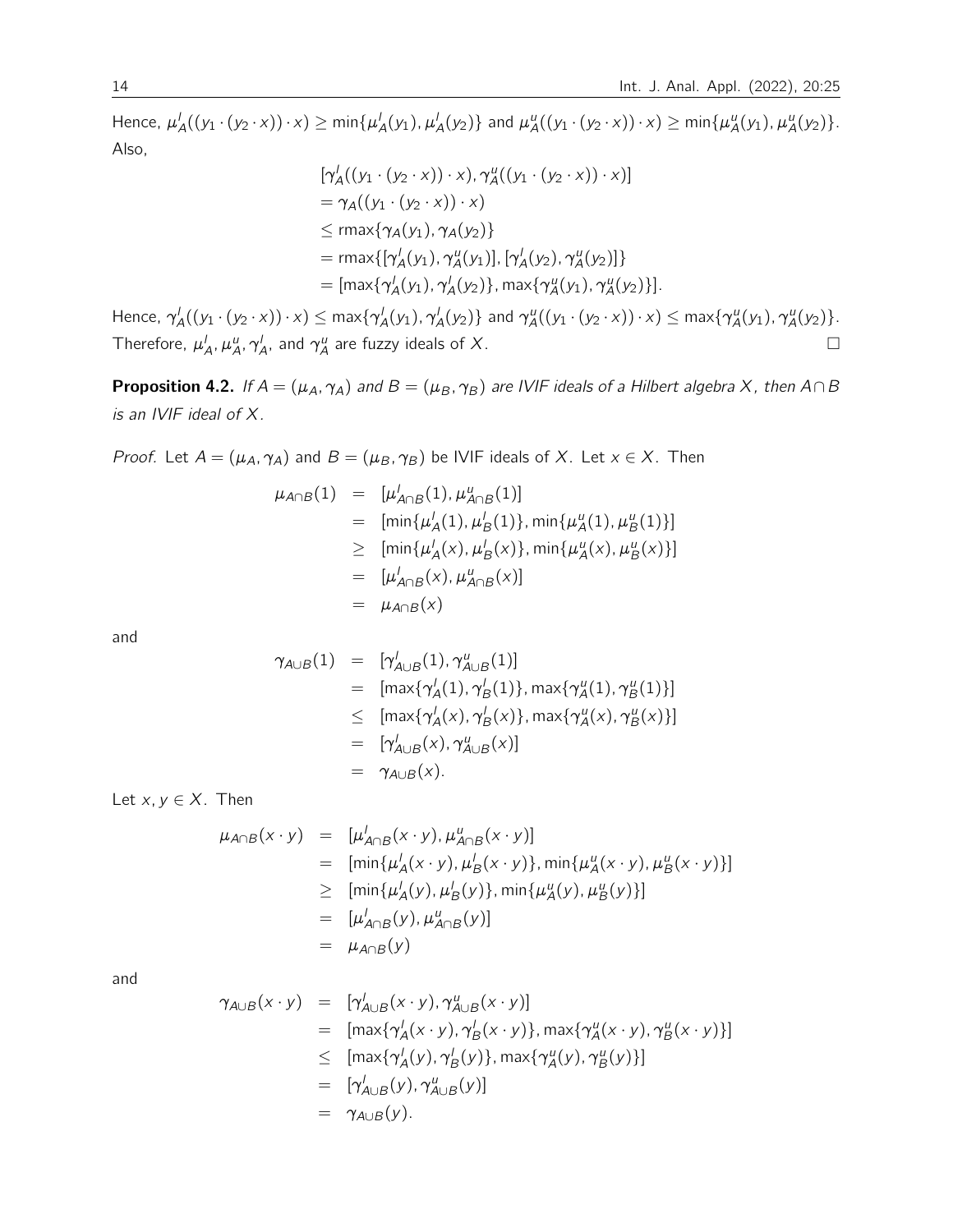Hence,  $\mu_A^l((y_1 \cdot (y_2 \cdot x)) \cdot x) \ge \min\{\mu_A^l(y_1), \mu_A^l(y_2)\}\$  and  $\mu_A^u((y_1 \cdot (y_2 \cdot x)) \cdot x) \ge \min\{\mu_A^u(y_1), \mu_A^u(y_2)\}\$ . Also,

$$
[\gamma_{A}'((y_{1} \cdot (y_{2} \cdot x)) \cdot x), \gamma_{A}^{u}((y_{1} \cdot (y_{2} \cdot x)) \cdot x)]
$$
  
=  $\gamma_{A}((y_{1} \cdot (y_{2} \cdot x)) \cdot x)$   
 $\leq \max{\gamma_{A}(y_{1}), \gamma_{A}(y_{2})}$   
=  $\max{\{\gamma_{A}'(y_{1}), \gamma_{A}^{u}(y_{1})\}, [\gamma_{A}'(y_{2}), \gamma_{A}^{u}(y_{2})]\}}$   
=  $[\max{\gamma_{A}'(y_{1}), \gamma_{A}'(y_{2})}\}, \max{\gamma_{A}^{u}(y_{1}), \gamma_{A}^{u}(y_{2})}]$ .

Hence,  $\gamma_A^l((y_1\cdot(y_2\cdot x))\cdot x)\leq \max\{\gamma_A^l(y_1),\gamma_A^l(y_2)\}$  and  $\gamma_A^u((y_1\cdot(y_2\cdot x))\cdot x)\leq \max\{\gamma_A^u(y_1),\gamma_A^u(y_2)\}.$ Therefore,  $\mu_A^l$ ,  $\mu_A^u$ ,  $\gamma_A^l$ , and  $\gamma_A^u$  are fuzzy ideals of X.

**Proposition 4.2.** If  $A = (\mu_A, \gamma_A)$  and  $B = (\mu_B, \gamma_B)$  are IVIF ideals of a Hilbert algebra X, then  $A \cap B$ is an IVIF ideal of X.

*Proof.* Let  $A = (\mu_A, \gamma_A)$  and  $B = (\mu_B, \gamma_B)$  be IVIF ideals of X. Let  $x \in X$ . Then

$$
\mu_{A\cap B}(1) = [\mu'_{A\cap B}(1), \mu''_{A\cap B}(1)]
$$
  
\n=  $[\min{\mu'_A(1), \mu'_B(1)}, \min{\mu'_A(1), \mu'_B(1)}]$   
\n $\geq [\min{\mu'_A(x), \mu'_B(x)}, \min{\mu'_A(x), \mu'_B(x)}]$   
\n=  $[\mu'_{A\cap B}(x), \mu''_{A\cap B}(x)]$   
\n=  $\mu_{A\cap B}(x)$ 

and

$$
\gamma_{A\cup B}(1) = [\gamma'_{A\cup B}(1), \gamma''_{A\cup B}(1)]
$$
  
\n= [max{ $\gamma'_{A}(1), \gamma'_{B}(1)$ }, max{ $\gamma''_{A}(1), \gamma''_{B}(1)$ }]  
\n
$$
\leq [\max{\gamma'_{A}(x), \gamma'_{B}(x)}, \max{\gamma''_{A}(x), \gamma''_{B}(x)}]
$$
  
\n= [ $\gamma'_{A\cup B}(x), \gamma''_{A\cup B}(x)$ ]  
\n=  $\gamma_{A\cup B}(x)$ .

Let  $x, y \in X$ . Then

$$
\mu_{A \cap B}(x \cdot y) = [\mu'_{A \cap B}(x \cdot y), \mu''_{A \cap B}(x \cdot y)]
$$
  
\n
$$
= [\min{\mu'_{A}(x \cdot y), \mu'_{B}(x \cdot y)}], \min{\mu'_{A}(x \cdot y), \mu'_{B}(x \cdot y)}]
$$
  
\n
$$
\geq [\min{\mu'_{A}(y), \mu'_{B}(y)}], \min{\mu'_{A}(y), \mu'_{B}(y)}]
$$
  
\n
$$
= [\mu'_{A \cap B}(y), \mu''_{A \cap B}(y)]
$$
  
\n
$$
= \mu_{A \cap B}(y)
$$

and

$$
\gamma_{A\cup B}(x \cdot y) = [\gamma'_{A\cup B}(x \cdot y), \gamma''_{A\cup B}(x \cdot y)]
$$
  
\n
$$
= [\max{\gamma'_{A}(x \cdot y), \gamma'_{B}(x \cdot y)}], \max{\gamma''_{A}(x \cdot y), \gamma''_{B}(x \cdot y)}]
$$
  
\n
$$
\leq [\max{\gamma'_{A}(y), \gamma'_{B}(y)}], \max{\gamma''_{A}(y), \gamma''_{B}(y)}]
$$
  
\n
$$
= [\gamma'_{A\cup B}(y), \gamma''_{A\cup B}(y)]
$$
  
\n
$$
= \gamma_{A\cup B}(y).
$$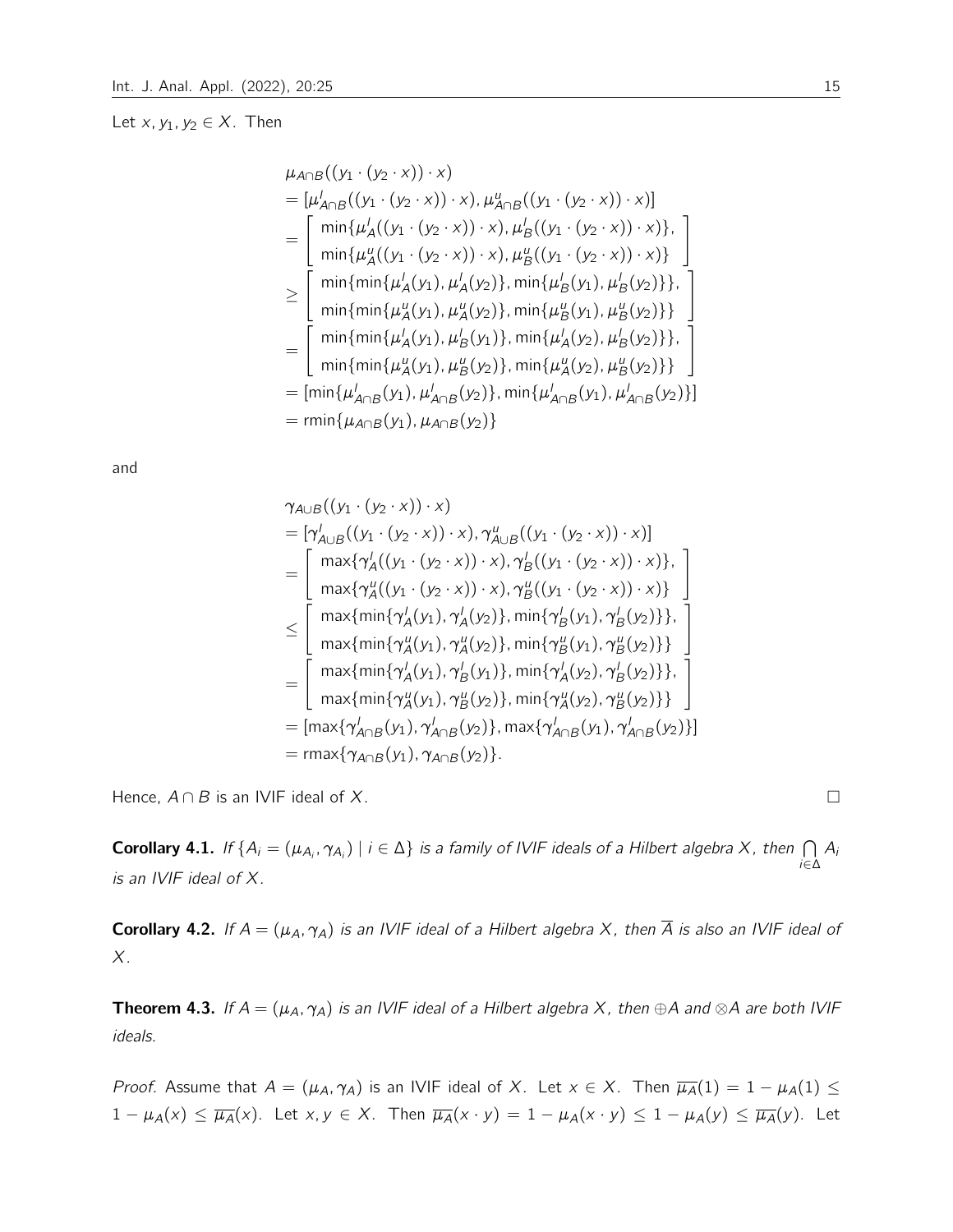## Let  $x, y_1, y_2 \in X$ . Then

$$
\mu_{A \cap B}((y_1 \cdot (y_2 \cdot x)) \cdot x)
$$
\n
$$
= [\mu'_{A \cap B}((y_1 \cdot (y_2 \cdot x)) \cdot x), \mu'_{A \cap B}((y_1 \cdot (y_2 \cdot x)) \cdot x)]
$$
\n
$$
= \begin{bmatrix}\n\min \{\mu'_{A}((y_1 \cdot (y_2 \cdot x)) \cdot x), \mu'_{B}((y_1 \cdot (y_2 \cdot x)) \cdot x)\}, \\
\min \{\mu'_{A}((y_1 \cdot (y_2 \cdot x)) \cdot x), \mu''_{B}((y_1 \cdot (y_2 \cdot x)) \cdot x)\}\n\end{bmatrix}
$$
\n
$$
\geq \begin{bmatrix}\n\min \{\min \{\mu'_{A}(y_1), \mu'_{A}(y_2)\}, \min \{\mu'_{B}(y_1), \mu'_{B}(y_2)\}\}, \\
\min \{\min \{\mu'_{A}(y_1), \mu'_{A}(y_2)\}, \min \{\mu''_{B}(y_1), \mu''_{B}(y_2)\}\}\n\end{bmatrix}
$$
\n
$$
= \begin{bmatrix}\n\min \{\min \{\mu'_{A}(y_1), \mu'_{B}(y_1)\}, \min \{\mu'_{A}(y_2), \mu'_{B}(y_2)\}\}, \\
\min \{\min \{\mu'_{A}(y_1), \mu'_{B}(y_2)\}, \min \{\mu'_{A}(y_2), \mu'_{B}(y_2)\}\}\n\end{bmatrix}
$$
\n
$$
= [\min \{\mu'_{A \cap B}(y_1), \mu'_{A \cap B}(y_2)\}, \min \{\mu'_{A \cap B}(y_1), \mu'_{A \cap B}(y_2)\}]
$$
\n
$$
= \text{rmin} \{\mu_{A \cap B}(y_1), \mu_{A \cap B}(y_2)\}
$$

and

$$
\gamma_{A\cup B}((y_1 \cdot (y_2 \cdot x)) \cdot x)
$$
\n
$$
= [\gamma'_{A\cup B}((y_1 \cdot (y_2 \cdot x)) \cdot x), \gamma'_{A\cup B}((y_1 \cdot (y_2 \cdot x)) \cdot x)]
$$
\n
$$
= \begin{bmatrix}\n\max \{\gamma'_{A}((y_1 \cdot (y_2 \cdot x)) \cdot x), \gamma'_{B}((y_1 \cdot (y_2 \cdot x)) \cdot x)\}, \\
\max \{\gamma''_{A}((y_1 \cdot (y_2 \cdot x)) \cdot x), \gamma''_{B}((y_1 \cdot (y_2 \cdot x)) \cdot x)\}\n\end{bmatrix}
$$
\n
$$
\leq \begin{bmatrix}\n\max \{\min \{\gamma'_{A}(y_1), \gamma'_{A}(y_2)\}, \min \{\gamma'_{B}(y_1), \gamma'_{B}(y_2)\}\}, \\
\max \{\min \{\gamma''_{A}(y_1), \gamma''_{A}(y_2)\}, \min \{\gamma''_{B}(y_1), \gamma''_{B}(y_2)\}\}\n\end{bmatrix}
$$
\n
$$
= \begin{bmatrix}\n\max \{\min \{\gamma'_{A}(y_1), \gamma'_{B}(y_1)\}, \min \{\gamma'_{A}(y_2), \gamma'_{B}(y_2)\}\}, \\
\max \{\min \{\gamma'_{A}(y_1), \gamma'_{B}(y_2)\}, \min \{\gamma''_{A}(y_2), \gamma''_{B}(y_2)\}\}\n\end{bmatrix}
$$
\n
$$
= [\max \{\gamma'_{A\cap B}(y_1), \gamma'_{A\cap B}(y_2)\}, \max \{\gamma'_{A\cap B}(y_1), \gamma'_{A\cap B}(y_2)\}]
$$
\n
$$
= \max \{\gamma_{A\cap B}(y_1), \gamma_{A\cap B}(y_2)\}.
$$

Hence,  $A \cap B$  is an IVIF ideal of X.

**Corollary 4.1.** If  $\{A_i = (\mu_{A_i}, \gamma_{A_i}) \mid i \in \Delta\}$  is a family of IVIF ideals of a Hilbert algebra X, then  $\bigcap$ i∈∆  $A_i$ is an IVIF ideal of X.

**Corollary 4.2.** If  $A = (\mu_A, \gamma_A)$  is an IVIF ideal of a Hilbert algebra X, then  $\overline{A}$  is also an IVIF ideal of X.

**Theorem 4.3.** If  $A = (\mu_A, \gamma_A)$  is an IVIF ideal of a Hilbert algebra X, then ⊕A and ⊗A are both IVIF ideals.

*Proof.* Assume that  $A = (\mu_A, \gamma_A)$  is an IVIF ideal of X. Let  $x \in X$ . Then  $\overline{\mu}_A(1) = 1 - \mu_A(1) \le$  $1 - \mu_A(x) \leq \overline{\mu_A}(x)$ . Let  $x, y \in X$ . Then  $\overline{\mu_A}(x \cdot y) = 1 - \mu_A(x \cdot y) \leq 1 - \mu_A(y) \leq \overline{\mu_A}(y)$ . Let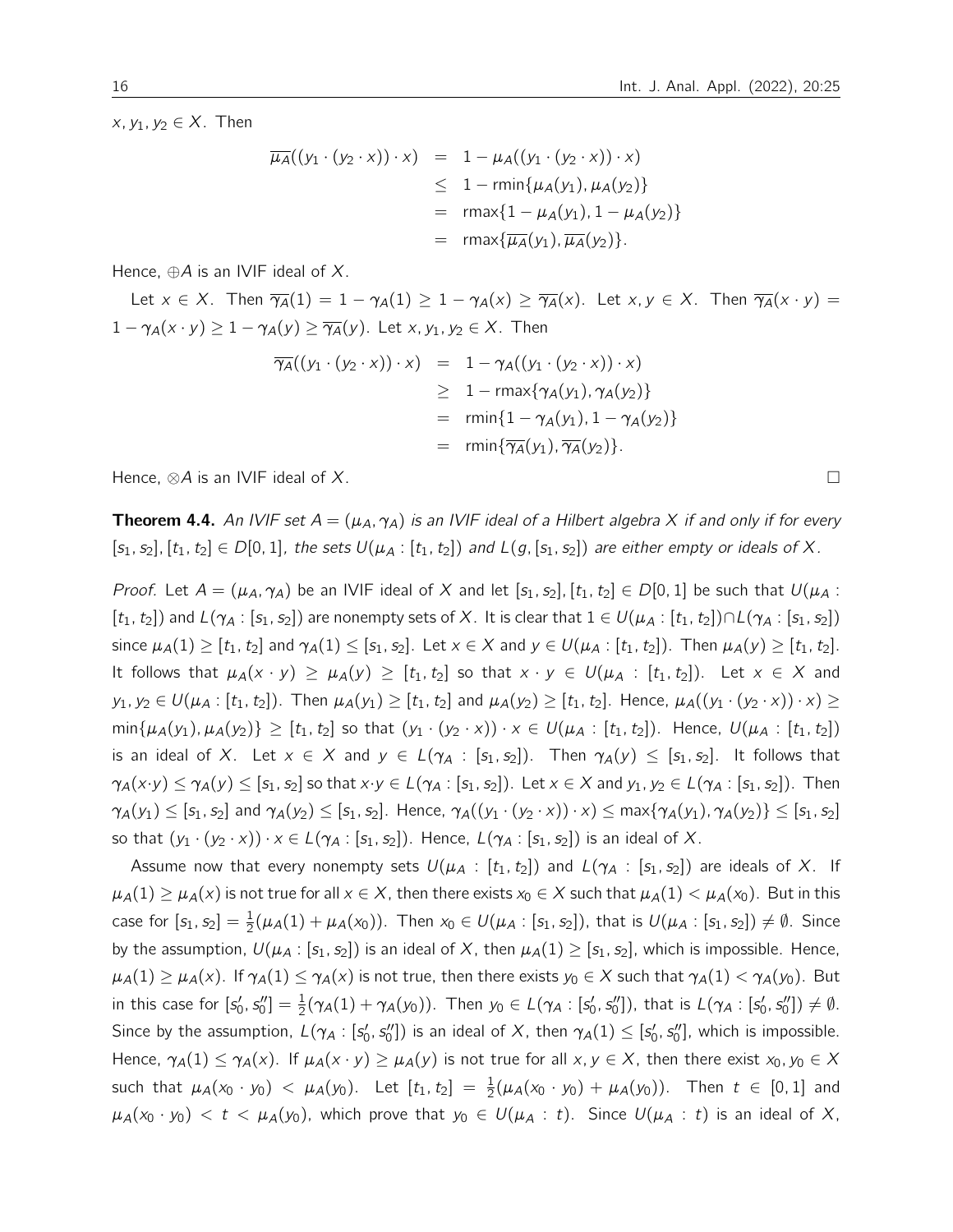$x, y_1, y_2 \in X$ . Then

$$
\overline{\mu_A}((y_1 \cdot (y_2 \cdot x)) \cdot x) = 1 - \mu_A((y_1 \cdot (y_2 \cdot x)) \cdot x)
$$
  
\n
$$
\leq 1 - \min{\mu_A(y_1), \mu_A(y_2)}
$$
  
\n
$$
= \max\{1 - \mu_A(y_1), 1 - \mu_A(y_2)\}
$$
  
\n
$$
= \max{\overline{\mu_A}(y_1), \overline{\mu_A}(y_2)}.
$$

Hence,  $\oplus A$  is an IVIF ideal of X.

Let  $x \in X$ . Then  $\overline{\gamma_A}(1) = 1 - \gamma_A(1) \geq 1 - \gamma_A(x) \geq \overline{\gamma_A}(x)$ . Let  $x, y \in X$ . Then  $\overline{\gamma_A}(x \cdot y) =$  $1 - \gamma_A(x \cdot y) \geq 1 - \gamma_A(y) \geq \overline{\gamma_A}(y)$ . Let x, y<sub>1</sub>, y<sub>2</sub>  $\in$  X. Then

$$
\overline{\gamma_A}((y_1 \cdot (y_2 \cdot x)) \cdot x) = 1 - \gamma_A((y_1 \cdot (y_2 \cdot x)) \cdot x)
$$
  
\n
$$
\geq 1 - \max\{\gamma_A(y_1), \gamma_A(y_2)\}
$$
  
\n
$$
= \min\{1 - \gamma_A(y_1), 1 - \gamma_A(y_2)\}
$$
  
\n
$$
= \min\{\overline{\gamma_A}(y_1), \overline{\gamma_A}(y_2)\}.
$$

Hence, ⊗A is an IVIF ideal of X.  $\Box$ 

<span id="page-15-0"></span>**Theorem 4.4.** An IVIF set  $A = (\mu_A, \gamma_A)$  is an IVIF ideal of a Hilbert algebra X if and only if for every  $[s_1, s_2], [t_1, t_2] \in D[0, 1],$  the sets  $U(\mu_A : [t_1, t_2])$  and  $L(g, [s_1, s_2])$  are either empty or ideals of X.

Proof. Let  $A = (\mu_A, \gamma_A)$  be an IVIF ideal of X and let  $[s_1, s_2], [t_1, t_2] \in D[0, 1]$  be such that  $U(\mu_A :$  $[t_1, t_2]$  and  $L(\gamma_A : [s_1, s_2])$  are nonempty sets of X. It is clear that  $1 \in U(\mu_A : [t_1, t_2]) \cap L(\gamma_A : [s_1, s_2])$ since  $\mu_A(1) \geq [t_1, t_2]$  and  $\gamma_A(1) \leq [s_1, s_2]$ . Let  $x \in X$  and  $y \in U(\mu_A : [t_1, t_2])$ . Then  $\mu_A(y) \geq [t_1, t_2]$ . It follows that  $\mu_A(x \cdot y) \ge \mu_A(y) \ge [t_1, t_2]$  so that  $x \cdot y \in U(\mu_A : [t_1, t_2])$ . Let  $x \in X$  and  $y_1, y_2 \in U(\mu_A : [t_1, t_2])$ . Then  $\mu_A(y_1) \geq [t_1, t_2]$  and  $\mu_A(y_2) \geq [t_1, t_2]$ . Hence,  $\mu_A((y_1 \cdot (y_2 \cdot x)) \cdot x) \geq$  $\min\{\mu_A(y_1), \mu_A(y_2)\} \geq [t_1, t_2]$  so that  $(y_1 \cdot (y_2 \cdot x)) \cdot x \in U(\mu_A : [t_1, t_2])$ . Hence,  $U(\mu_A : [t_1, t_2])$ is an ideal of X. Let  $x \in X$  and  $y \in L(\gamma_A : [s_1, s_2])$ . Then  $\gamma_A(y) \leq [s_1, s_2]$ . It follows that  $\gamma_A(x \cdot y) \leq \gamma_A(y) \leq [s_1, s_2]$  so that  $x \cdot y \in L(\gamma_A : [s_1, s_2])$ . Let  $x \in X$  and  $y_1, y_2 \in L(\gamma_A : [s_1, s_2])$ . Then  $\gamma_A(y_1) \leq [s_1, s_2]$  and  $\gamma_A(y_2) \leq [s_1, s_2]$ . Hence,  $\gamma_A((y_1 \cdot (y_2 \cdot x)) \cdot x) \leq \max\{\gamma_A(y_1), \gamma_A(y_2)\} \leq [s_1, s_2]$ so that  $(y_1 \cdot (y_2 \cdot x)) \cdot x \in L(\gamma_A : [s_1, s_2])$ . Hence,  $L(\gamma_A : [s_1, s_2])$  is an ideal of X.

Assume now that every nonempty sets  $U(\mu_A : [t_1, t_2])$  and  $L(\gamma_A : [s_1, s_2])$  are ideals of X. If  $\mu_A(1) \geq \mu_A(x)$  is not true for all  $x \in X$ , then there exists  $x_0 \in X$  such that  $\mu_A(1) < \mu_A(x_0)$ . But in this case for  $[s_1, s_2] = \frac{1}{2}(\mu_A(1) + \mu_A(x_0))$ . Then  $x_0 \in U(\mu_A : [s_1, s_2])$ , that is  $U(\mu_A : [s_1, s_2]) \neq \emptyset$ . Since by the assumption,  $U(\mu_A : [s_1, s_2])$  is an ideal of X, then  $\mu_A(1) \geq [s_1, s_2]$ , which is impossible. Hence,  $\mu_A(1) \geq \mu_A(x)$ . If  $\gamma_A(1) \leq \gamma_A(x)$  is not true, then there exists  $y_0 \in X$  such that  $\gamma_A(1) < \gamma_A(y_0)$ . But in this case for  $[s'_0,s''_0]=\frac{1}{2}(\gamma_A(1)+\gamma_A(y_0)).$  Then  $y_0\in L(\gamma_A:[s'_0,s''_0])$ , that is  $L(\gamma_A:[s'_0,s''_0])\neq\emptyset$ . Since by the assumption,  $L(\gamma_A:[s_0',s_0''])$  is an ideal of X, then  $\gamma_A(1)\leq [s_0',s_0'']$ , which is impossible. Hence,  $\gamma_A(1) \leq \gamma_A(x)$ . If  $\mu_A(x \cdot y) \geq \mu_A(y)$  is not true for all  $x, y \in X$ , then there exist  $x_0, y_0 \in X$ such that  $\mu_A(x_0 \cdot y_0) \, < \, \mu_A(y_0)$ . Let  $[t_1, t_2] = \frac{1}{2}(\mu_A(x_0 \cdot y_0) + \mu_A(y_0))$ . Then  $t \, \in \, [0, 1]$  and  $\mu_A(x_0 \cdot y_0) < t < \mu_A(y_0)$ , which prove that  $y_0 \in U(\mu_A : t)$ . Since  $U(\mu_A : t)$  is an ideal of X,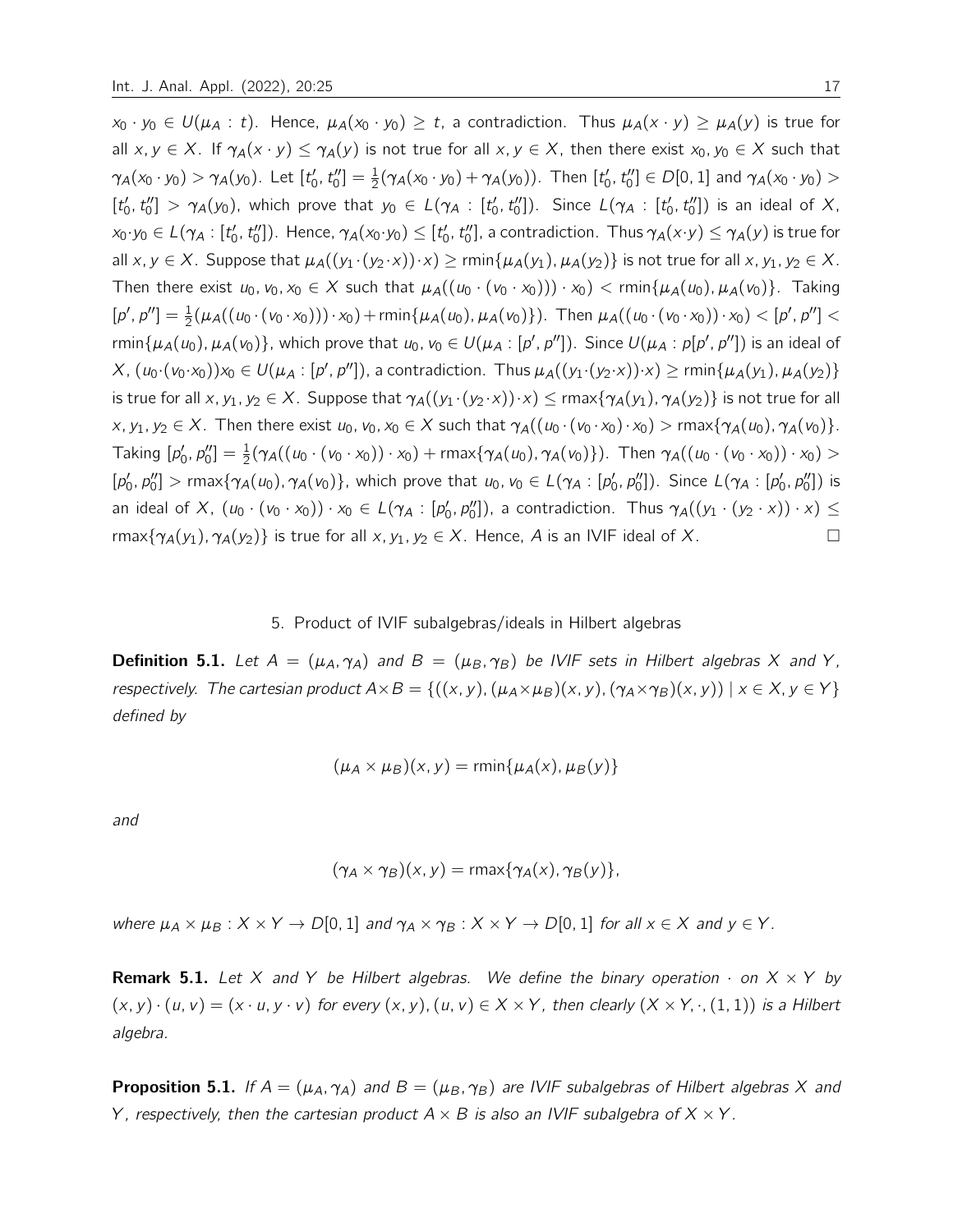$x_0 \cdot y_0 \in U(\mu_A : t)$ . Hence,  $\mu_A(x_0 \cdot y_0) \ge t$ , a contradiction. Thus  $\mu_A(x \cdot y) \ge \mu_A(y)$  is true for all  $x, y \in X$ . If  $\gamma_A(x \cdot y) \leq \gamma_A(y)$  is not true for all  $x, y \in X$ , then there exist  $x_0, y_0 \in X$  such that  $\gamma_A(x_0 \cdot y_0) > \gamma_A(y_0)$ . Let  $[t'_0, t''_0] = \frac{1}{2} (\gamma_A(x_0 \cdot y_0) + \gamma_A(y_0))$ . Then  $[t'_0, t''_0] \in D[0, 1]$  and  $\gamma_A(x_0 \cdot y_0) >$  $[t'_0, t''_0] > \gamma_A(y_0)$ , which prove that  $y_0 \in L(\gamma_A : [t'_0, t''_0])$ . Since  $L(\gamma_A : [t'_0, t''_0])$  is an ideal of X,  $x_0\cdot y_0\in L(\gamma_A:[t_0',t_0''])$ . Hence,  $\gamma_A(x_0\cdot y_0)\leq [t_0',t_0'']$ , a contradiction. Thus  $\gamma_A(x\cdot y)\leq \gamma_A(y)$  is true for all x,  $y \in X$ . Suppose that  $\mu_A((y_1 \cdot (y_2 \cdot x)) \cdot x) \ge \text{rmin}\{\mu_A(y_1), \mu_A(y_2)\}\)$  is not true for all x,  $y_1, y_2 \in X$ . Then there exist  $u_0, v_0, x_0 \in X$  such that  $\mu_A((u_0 \cdot (v_0 \cdot x_0))) \cdot x_0) < \text{rmin}\{\mu_A(u_0), \mu_A(v_0)\}\$ . Taking  $[p', p''] = \frac{1}{2}(\mu_A((u_0 \cdot (v_0 \cdot x_0))) \cdot x_0) + \min\{\mu_A(u_0), \mu_A(v_0)\})$ . Then  $\mu_A((u_0 \cdot (v_0 \cdot x_0)) \cdot x_0) < [p', p'']$ rmin $\{\mu_A(u_0),\mu_A(v_0)\}\$ , which prove that  $u_0, v_0 \in U(\mu_A : [p', p''])$ . Since  $U(\mu_A : p[p', p''])$  is an ideal of  $X, (\mu_0 \cdot (v_0 \cdot x_0))x_0 \in U(\mu_A : [p', p''])$ , a contradiction. Thus  $\mu_A((y_1 \cdot (y_2 \cdot x)) \cdot x) \ge \min{\{\mu_A(y_1), \mu_A(y_2)\}}$ is true for all x,  $y_1, y_2 \in X$ . Suppose that  $\gamma_A((y_1 \cdot (y_2 \cdot x)) \cdot x) \leq \text{rmax}\{\gamma_A(y_1), \gamma_A(y_2)\}\)$  is not true for all x, y<sub>1</sub>, y<sub>2</sub>  $\in$  X. Then there exist  $u_0$ ,  $v_0$ ,  $x_0 \in X$  such that  $\gamma_A((u_0 \cdot (v_0 \cdot x_0) \cdot x_0) > \text{rmax}\{\gamma_A(u_0), \gamma_A(v_0)\}.$ Taking  $[p'_0, p''_0] = \frac{1}{2} (\gamma_A((u_0 \cdot (v_0 \cdot x_0)) \cdot x_0) + \text{rmax}\{\gamma_A(u_0), \gamma_A(v_0)\})$ . Then  $\gamma_A((u_0 \cdot (v_0 \cdot x_0)) \cdot x_0) >$  $[p'_0, p''_0] > \max\{\gamma_A(u_0), \gamma_A(v_0)\}\$ , which prove that  $u_0, v_0 \in L(\gamma_A : [p'_0, p''_0])$ . Since  $L(\gamma_A : [p'_0, p''_0])$  is an ideal of X,  $(u_0 \cdot (v_0 \cdot x_0)) \cdot x_0 \in L(\gamma_A : [p'_0, p''_0])$ , a contradiction. Thus  $\gamma_A((y_1 \cdot (y_2 \cdot x)) \cdot x) \leq$ rmax $\{\gamma_A(y_1), \gamma_A(y_2)\}\$ is true for all x,  $y_1, y_2 \in X$ . Hence, A is an IVIF ideal of X.

#### 5. Product of IVIF subalgebras/ideals in Hilbert algebras

**Definition 5.1.** Let  $A = (\mu_A, \gamma_A)$  and  $B = (\mu_B, \gamma_B)$  be IVIF sets in Hilbert algebras X and Y, respectively. The cartesian product  $A \times B = \{((x, y), (\mu_A \times \mu_B)(x, y), (\gamma_A \times \gamma_B)(x, y)) \mid x \in X, y \in Y\}$ defined by

$$
(\mu_A \times \mu_B)(x, y) = \min\{\mu_A(x), \mu_B(y)\}\
$$

and

$$
(\gamma_A \times \gamma_B)(x, y) = \max\{\gamma_A(x), \gamma_B(y)\},
$$

where  $\mu_A \times \mu_B : X \times Y \to D[0, 1]$  and  $\gamma_A \times \gamma_B : X \times Y \to D[0, 1]$  for all  $x \in X$  and  $y \in Y$ .

**Remark 5.1.** Let X and Y be Hilbert algebras. We define the binary operation  $\cdot$  on  $X \times Y$  by  $(x, y) \cdot (u, v) = (x \cdot u, y \cdot v)$  for every  $(x, y)$ ,  $(u, v) \in X \times Y$ , then clearly  $(X \times Y, \cdot, (1, 1))$  is a Hilbert algebra.

**Proposition 5.1.** If  $A = (\mu_A, \gamma_A)$  and  $B = (\mu_B, \gamma_B)$  are IVIF subalgebras of Hilbert algebras X and Y, respectively, then the cartesian product  $A \times B$  is also an IVIF subalgebra of  $X \times Y$ .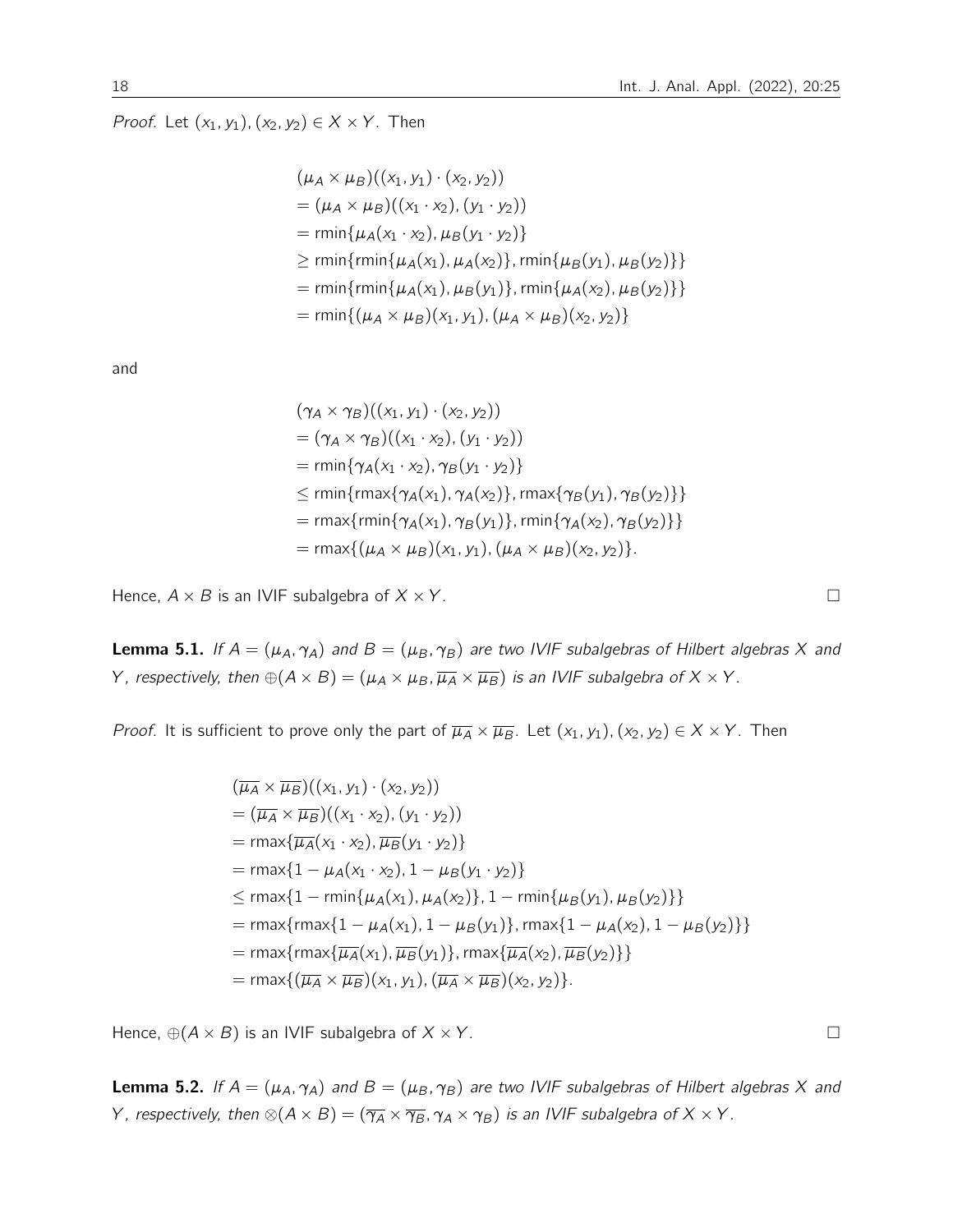# *Proof.* Let  $(x_1, y_1)$ ,  $(x_2, y_2) \in X \times Y$ . Then

$$
(\mu_A \times \mu_B)((x_1, y_1) \cdot (x_2, y_2))
$$
  
=  $(\mu_A \times \mu_B)((x_1 \cdot x_2), (y_1 \cdot y_2))$   
=  $\min{\mu_A(x_1 \cdot x_2), \mu_B(y_1 \cdot y_2)}$   
 $\ge \min{\min{\mu_A(x_1), \mu_A(x_2)}, \min{\mu_B(y_1), \mu_B(y_2)}}$   
=  $\min{\min{\mu_A(x_1), \mu_B(y_1)}, \min{\mu_A(x_2), \mu_B(y_2)}}$   
=  $\min{\{(\mu_A \times \mu_B)(x_1, y_1), (\mu_A \times \mu_B)(x_2, y_2)\}}$ 

and

$$
(\gamma_A \times \gamma_B)((x_1, y_1) \cdot (x_2, y_2))
$$
  
= 
$$
(\gamma_A \times \gamma_B)((x_1 \cdot x_2), (y_1 \cdot y_2))
$$
  
= 
$$
rmin{\gamma_A(x_1 \cdot x_2), \gamma_B(y_1 \cdot y_2)}
$$
  

$$
\leq rmin{rmax{\gamma_A(x_1), \gamma_A(x_2)}, rmax{\gamma_B(y_1), \gamma_B(y_2)}}\n= rmax{rmin{\gamma_A(x_1), \gamma_B(y_1)}, rmin{\gamma_A(x_2), \gamma_B(y_2)}}\n= rmax{(\mu_A \times \mu_B)(x_1, y_1), (\mu_A \times \mu_B)(x_2, y_2)}.
$$

Hence,  $A \times B$  is an IVIF subalgebra of  $X \times Y$ .

<span id="page-17-0"></span>**Lemma 5.1.** If  $A = (\mu_A, \gamma_A)$  and  $B = (\mu_B, \gamma_B)$  are two IVIF subalgebras of Hilbert algebras X and Y, respectively, then  $\oplus(A \times B) = (\mu_A \times \mu_B, \overline{\mu_A} \times \overline{\mu_B})$  is an IVIF subalgebra of  $X \times Y$ .

*Proof.* It is sufficient to prove only the part of  $\overline{\mu_A} \times \overline{\mu_B}$ . Let  $(x_1, y_1), (x_2, y_2) \in X \times Y$ . Then

$$
(\overline{\mu_{A}} \times \overline{\mu_{B}})((x_{1}, y_{1}) \cdot (x_{2}, y_{2}))
$$
\n
$$
= (\overline{\mu_{A}} \times \overline{\mu_{B}})((x_{1} \cdot x_{2}), (y_{1} \cdot y_{2}))
$$
\n
$$
= \max{\{\overline{\mu_{A}}(x_{1} \cdot x_{2}), \overline{\mu_{B}}(y_{1} \cdot y_{2})\}}
$$
\n
$$
= \max{\{1 - \mu_{A}(x_{1} \cdot x_{2}), 1 - \mu_{B}(y_{1} \cdot y_{2})\}}
$$
\n
$$
\leq \max{\{1 - \min{\{\mu_{A}(x_{1}), \mu_{A}(x_{2})\}}, 1 - \min{\{\mu_{B}(y_{1}), \mu_{B}(y_{2})\}}\}}
$$
\n
$$
= \max{\{\max{\{1 - \mu_{A}(x_{1}), 1 - \mu_{B}(y_{1})\}}, \max{\{1 - \mu_{A}(x_{2}), 1 - \mu_{B}(y_{2})\}}\}
$$
\n
$$
= \max{\{\max{\{\overline{\mu_{A}}(x_{1}), \overline{\mu_{B}}(y_{1})\}}, \max{\{\overline{\mu_{A}}(x_{2}), \overline{\mu_{B}}(y_{2})\}}\}}
$$
\n
$$
= \max{\{\{\overline{\mu_{A}} \times \overline{\mu_{B}}(x_{1}, y_{1}), (\overline{\mu_{A}} \times \overline{\mu_{B}}(x_{2}, y_{2})\}}.
$$

Hence,  $\oplus$ ( $A \times B$ ) is an IVIF subalgebra of  $X \times Y$ .

<span id="page-17-1"></span>**Lemma 5.2.** If  $A = (\mu_A, \gamma_A)$  and  $B = (\mu_B, \gamma_B)$  are two IVIF subalgebras of Hilbert algebras X and Y, respectively, then  $\otimes (A \times B) = (\overline{\gamma_A} \times \overline{\gamma_B}, \gamma_A \times \gamma_B)$  is an IVIF subalgebra of  $X \times Y$ .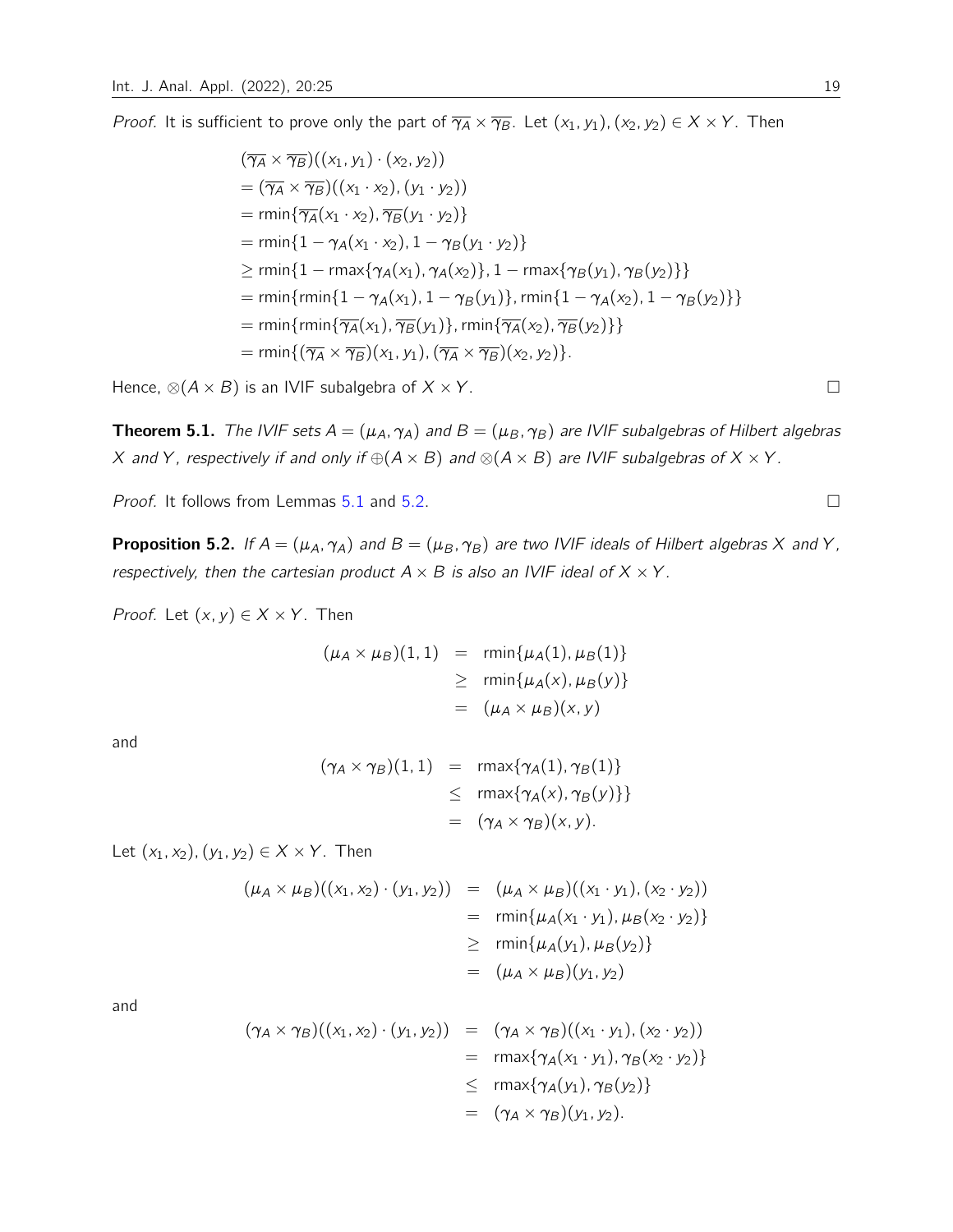*Proof.* It is sufficient to prove only the part of  $\overline{\gamma_A} \times \overline{\gamma_B}$ . Let  $(x_1, y_1), (x_2, y_2) \in X \times Y$ . Then

$$
(\overline{\gamma_A} \times \overline{\gamma_B})((x_1, y_1) \cdot (x_2, y_2))
$$
  
=  $(\overline{\gamma_A} \times \overline{\gamma_B})((x_1 \cdot x_2), (y_1 \cdot y_2))$   
=  $\min{\{\overline{\gamma_A}(x_1 \cdot x_2), \overline{\gamma_B}(y_1 \cdot y_2)\}}$   
=  $\min{1 - \gamma_A(x_1 \cdot x_2), 1 - \gamma_B(y_1 \cdot y_2)}$   
 $\ge \min{1 - \max{\gamma_A(x_1), \gamma_A(x_2)}, 1 - \max{\gamma_B(y_1), \gamma_B(y_2)}\}}$   
=  $\min{\{\min{1 - \gamma_A(x_1), 1 - \gamma_B(y_1)\}, \min{1 - \gamma_A(x_2), 1 - \gamma_B(y_2)}\}}$   
=  $\min{\{\min{\{\overline{\gamma_A}(x_1), \overline{\gamma_B}(y_1)\}, \min{\{\overline{\gamma_A}(x_2), \overline{\gamma_B}(y_2)\}}\}}$   
=  $\min{\{(\overline{\gamma_A} \times \overline{\gamma_B})(x_1, y_1), (\overline{\gamma_A} \times \overline{\gamma_B})(x_2, y_2)\}}$ .

Hence,  $\otimes (A \times B)$  is an IVIF subalgebra of  $X \times Y$ .

**Theorem 5.1.** The IVIF sets  $A = (\mu_A, \gamma_A)$  and  $B = (\mu_B, \gamma_B)$  are IVIF subalgebras of Hilbert algebras X and Y, respectively if and only if  $\oplus(A \times B)$  and  $\otimes(A \times B)$  are IVIF subalgebras of  $X \times Y$ .

*Proof.* It follows from Lemmas [5.1](#page-17-0) and [5.2.](#page-17-1)  $\Box$ 

**Proposition 5.2.** If  $A = (\mu_A, \gamma_A)$  and  $B = (\mu_B, \gamma_B)$  are two IVIF ideals of Hilbert algebras X and Y, respectively, then the cartesian product  $A \times B$  is also an IVIF ideal of  $X \times Y$ .

*Proof.* Let  $(x, y) \in X \times Y$ . Then

$$
(\mu_A \times \mu_B)(1,1) = \min{\mu_A(1), \mu_B(1)}
$$
  
\n
$$
\geq \min{\mu_A(x), \mu_B(y)}
$$
  
\n
$$
= (\mu_A \times \mu_B)(x, y)
$$

and

$$
(\gamma_A \times \gamma_B)(1,1) = \max{\gamma_A(1), \gamma_B(1)}
$$
  
\n
$$
\leq \max{\gamma_A(x), \gamma_B(y)} \}
$$
  
\n
$$
= (\gamma_A \times \gamma_B)(x,y).
$$

Let  $(x_1, x_2), (y_1, y_2) \in X \times Y$ . Then

$$
(\mu_A \times \mu_B)((x_1, x_2) \cdot (y_1, y_2)) = (\mu_A \times \mu_B)((x_1 \cdot y_1), (x_2 \cdot y_2))
$$
  
=  $rmin{\{\mu_A(x_1 \cdot y_1), \mu_B(x_2 \cdot y_2)\}}$   
 $\geq$   $rmin{\{\mu_A(y_1), \mu_B(y_2)\}}$ 

 $= (\mu_A \times \mu_B)(y_1, y_2)$ 

and

$$
(\gamma_A \times \gamma_B)((x_1, x_2) \cdot (y_1, y_2)) = (\gamma_A \times \gamma_B)((x_1 \cdot y_1), (x_2 \cdot y_2))
$$
  
=  $\max{\gamma_A(x_1 \cdot y_1), \gamma_B(x_2 \cdot y_2)}$   
 $\leq \max{\gamma_A(y_1), \gamma_B(y_2)}$   
=  $(\gamma_A \times \gamma_B)(y_1, y_2).$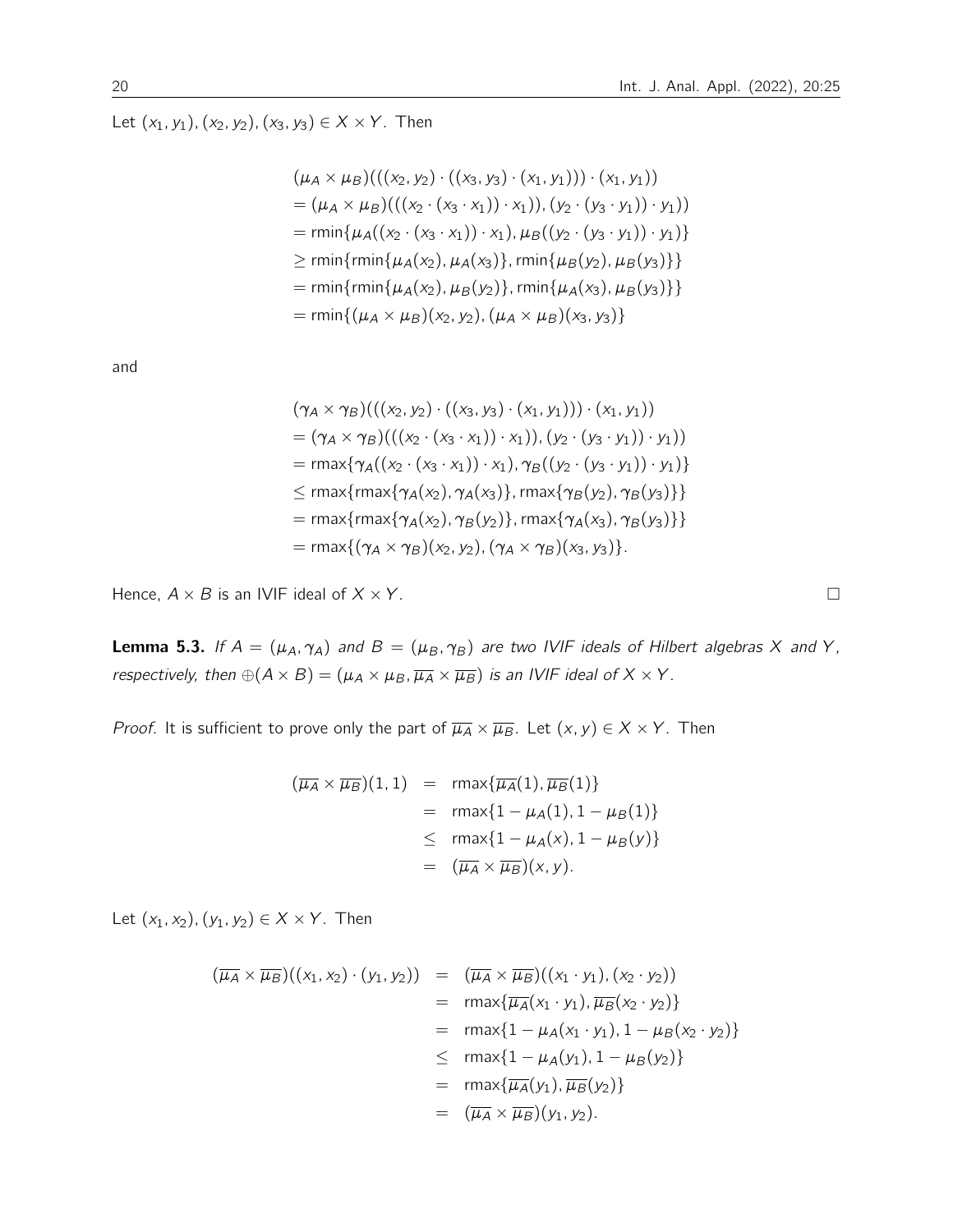Let  $(x_1, y_1)$ ,  $(x_2, y_2)$ ,  $(x_3, y_3) \in X \times Y$ . Then

$$
(\mu_A \times \mu_B)(( (x_2, y_2) \cdot ((x_3, y_3) \cdot (x_1, y_1))) \cdot (x_1, y_1))
$$
  
=  $(\mu_A \times \mu_B)(( (x_2 \cdot (x_3 \cdot x_1)) \cdot x_1)), (y_2 \cdot (y_3 \cdot y_1)) \cdot y_1))$   
=  $min{\mu_A((x_2 \cdot (x_3 \cdot x_1)) \cdot x_1), \mu_B((y_2 \cdot (y_3 \cdot y_1)) \cdot y_1)}$   
 $\geq min{\{min{\mu_A(x_2), \mu_A(x_3)\}, min{\mu_B(y_2), \mu_B(y_3)\}}}$   
=  $min{\{min{\mu_A(x_2), \mu_B(y_2)\}, min{\mu_A(x_3), \mu_B(y_3)\}}}$   
=  $min{\{\mu_A \times \mu_B)(x_2, y_2), (\mu_A \times \mu_B)(x_3, y_3)\}}$ 

and

$$
(\gamma_A \times \gamma_B) (((x_2, y_2) \cdot ((x_3, y_3) \cdot (x_1, y_1))) \cdot (x_1, y_1))
$$
  
= 
$$
(\gamma_A \times \gamma_B) (((x_2 \cdot (x_3 \cdot x_1)) \cdot x_1)), (y_2 \cdot (y_3 \cdot y_1)) \cdot y_1))
$$
  
= 
$$
rmax{\gamma_A((x_2 \cdot (x_3 \cdot x_1)) \cdot x_1), \gamma_B((y_2 \cdot (y_3 \cdot y_1)) \cdot y_1)}
$$
  

$$
\leq rmax{rmax{\gamma_A(x_2), \gamma_A(x_3)}, rmax{\gamma_B(y_2), \gamma_B(y_3)}}\}
$$
  
= 
$$
rmax{rmax{\gamma_A(x_2), \gamma_B(y_2)}, rmax{\gamma_A(x_3), \gamma_B(y_3)}}\}
$$
  
= 
$$
rmax{\gamma_A(x_2, y_2), (\gamma_A \times \gamma_B)(x_3, y_3)}.
$$

Hence,  $A \times B$  is an IVIF ideal of  $X \times Y$ .

<span id="page-19-0"></span>**Lemma 5.3.** If  $A = (\mu_A, \gamma_A)$  and  $B = (\mu_B, \gamma_B)$  are two IVIF ideals of Hilbert algebras X and Y, respectively, then  $\oplus (A \times B) = (\mu_A \times \mu_B, \overline{\mu_A} \times \overline{\mu_B})$  is an IVIF ideal of  $X \times Y$ .

*Proof.* It is sufficient to prove only the part of  $\overline{\mu_A} \times \overline{\mu_B}$ . Let  $(x, y) \in X \times Y$ . Then

$$
(\overline{\mu_A} \times \overline{\mu_B})(1, 1) = \max{\{\overline{\mu_A}(1), \overline{\mu_B}(1)\}}
$$
  
=  $\max{1 - \mu_A(1), 1 - \mu_B(1)\}$   
 $\leq \max{1 - \mu_A(x), 1 - \mu_B(y)\}$   
=  $(\overline{\mu_A} \times \overline{\mu_B})(x, y).$ 

Let  $(x_1, x_2), (y_1, y_2) \in X \times Y$ . Then

$$
(\overline{\mu_{A}} \times \overline{\mu_{B}})((x_{1}, x_{2}) \cdot (y_{1}, y_{2})) = (\overline{\mu_{A}} \times \overline{\mu_{B}})((x_{1} \cdot y_{1}), (x_{2} \cdot y_{2}))
$$
  
\n
$$
= \max{\{\overline{\mu_{A}}(x_{1} \cdot y_{1}), \overline{\mu_{B}}(x_{2} \cdot y_{2})\}}
$$
  
\n
$$
= \max{1 - \mu_{A}(x_{1} \cdot y_{1}), 1 - \mu_{B}(x_{2} \cdot y_{2})\}
$$
  
\n
$$
\leq \max{1 - \mu_{A}(y_{1}), 1 - \mu_{B}(y_{2})}
$$
  
\n
$$
= \max{\{\overline{\mu_{A}}(y_{1}), \overline{\mu_{B}}(y_{2})\}}
$$
  
\n
$$
= (\overline{\mu_{A}} \times \overline{\mu_{B}})(y_{1}, y_{2}).
$$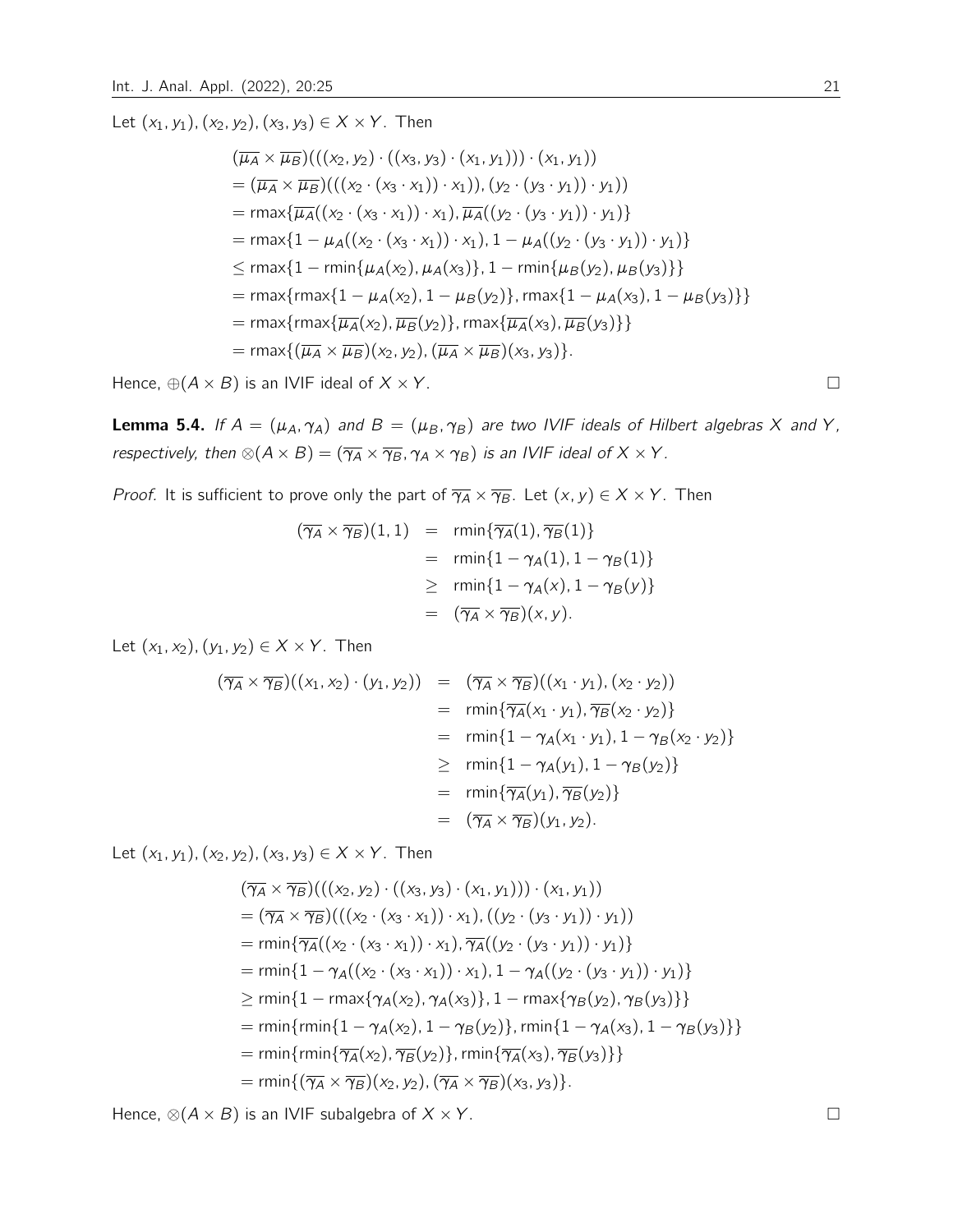Let  $(x_1, y_1)$ ,  $(x_2, y_2)$ ,  $(x_3, y_3) \in X \times Y$ . Then

$$
(\overline{\mu_{A}} \times \overline{\mu_{B}})((x_{2}, y_{2}) \cdot ((x_{3}, y_{3}) \cdot (x_{1}, y_{1}))) \cdot (x_{1}, y_{1}))
$$
\n
$$
= (\overline{\mu_{A}} \times \overline{\mu_{B}})((x_{2} \cdot (x_{3} \cdot x_{1})) \cdot x_{1})), (y_{2} \cdot (y_{3} \cdot y_{1})) \cdot y_{1}))
$$
\n
$$
= \max\{\overline{\mu_{A}}((x_{2} \cdot (x_{3} \cdot x_{1})) \cdot x_{1}), \overline{\mu_{A}}((y_{2} \cdot (y_{3} \cdot y_{1})) \cdot y_{1})\}
$$
\n
$$
= \max\{1 - \mu_{A}((x_{2} \cdot (x_{3} \cdot x_{1})) \cdot x_{1}), 1 - \mu_{A}((y_{2} \cdot (y_{3} \cdot y_{1})) \cdot y_{1})\}
$$
\n
$$
\leq \max\{1 - \min\{\mu_{A}(x_{2}), \mu_{A}(x_{3})\}, 1 - \min\{\mu_{B}(y_{2}), \mu_{B}(y_{3})\}\}
$$
\n
$$
= \max\{\max\{1 - \mu_{A}(x_{2}), 1 - \mu_{B}(y_{2})\}, \max\{1 - \mu_{A}(x_{3}), 1 - \mu_{B}(y_{3})\}\}
$$
\n
$$
= \max\{\max\{\overline{\mu_{A}}(x_{2}), \overline{\mu_{B}}(y_{2})\}, \max\{\overline{\mu_{A}}(x_{3}), \overline{\mu_{B}}(y_{3})\}\}
$$
\n
$$
= \max\{(\overline{\mu_{A}} \times \overline{\mu_{B}})(x_{2}, y_{2}), (\overline{\mu_{A}} \times \overline{\mu_{B}})(x_{3}, y_{3})\}.
$$

Hence,  $\oplus$   $(A \times B)$  is an IVIF ideal of  $X \times Y$ .

<span id="page-20-0"></span>**Lemma 5.4.** If  $A = (\mu_A, \gamma_A)$  and  $B = (\mu_B, \gamma_B)$  are two IVIF ideals of Hilbert algebras X and Y, respectively, then  $\otimes (A \times B) = (\overline{\gamma_A} \times \overline{\gamma_B}, \gamma_A \times \gamma_B)$  is an IVIF ideal of  $X \times Y$ .

*Proof.* It is sufficient to prove only the part of  $\overline{\gamma_A} \times \overline{\gamma_B}$ . Let  $(x, y) \in X \times Y$ . Then

$$
(\overline{\gamma_A} \times \overline{\gamma_B})(1,1) = \min{\overline{\gamma_A}(1), \overline{\gamma_B}(1)}
$$
  
= 
$$
\min{1 - \gamma_A(1), 1 - \gamma_B(1)}
$$
  

$$
\geq \min{1 - \gamma_A(x), 1 - \gamma_B(y)}
$$
  
= 
$$
(\overline{\gamma_A} \times \overline{\gamma_B})(x, y).
$$

Let  $(x_1, x_2), (y_1, y_2) \in X \times Y$ . Then

$$
(\overline{\gamma_A} \times \overline{\gamma_B})((x_1, x_2) \cdot (y_1, y_2)) = (\overline{\gamma_A} \times \overline{\gamma_B})((x_1 \cdot y_1), (x_2 \cdot y_2))
$$
  
\n
$$
= \min{\{\overline{\gamma_A}(x_1 \cdot y_1), \overline{\gamma_B}(x_2 \cdot y_2)\}}
$$
  
\n
$$
= \min{\{1 - \gamma_A(x_1 \cdot y_1), 1 - \gamma_B(x_2 \cdot y_2)\}}
$$
  
\n
$$
\geq \min{\{1 - \gamma_A(y_1), 1 - \gamma_B(y_2)\}}
$$
  
\n
$$
= \min{\{\overline{\gamma_A}(y_1), \overline{\gamma_B}(y_2)\}}
$$
  
\n
$$
= (\overline{\gamma_A} \times \overline{\gamma_B})(y_1, y_2).
$$

Let  $(x_1, y_1)$ ,  $(x_2, y_2)$ ,  $(x_3, y_3) \in X \times Y$ . Then

$$
(\overline{\gamma_A} \times \overline{\gamma_B})(((x_2, y_2) \cdot ((x_3, y_3) \cdot (x_1, y_1))) \cdot (x_1, y_1))
$$
  
=  $(\overline{\gamma_A} \times \overline{\gamma_B})(((x_2 \cdot (x_3 \cdot x_1)) \cdot x_1), ((y_2 \cdot (y_3 \cdot y_1)) \cdot y_1))$   
=  $\text{rmin}\{\overline{\gamma_A}((x_2 \cdot (x_3 \cdot x_1)) \cdot x_1), \overline{\gamma_A}((y_2 \cdot (y_3 \cdot y_1)) \cdot y_1)\}$   
=  $\text{rmin}\{1 - \gamma_A((x_2 \cdot (x_3 \cdot x_1)) \cdot x_1), 1 - \gamma_A((y_2 \cdot (y_3 \cdot y_1)) \cdot y_1)\}$   

$$
\ge \text{rmin}\{1 - \text{rmax}\{\gamma_A(x_2), \gamma_A(x_3)\}, 1 - \text{rmax}\{\gamma_B(y_2), \gamma_B(y_3)\}\}
$$
  
=  $\text{rmin}\{\text{rmin}\{\overline{\gamma_A}(x_2), \overline{\gamma_B}(y_2)\}, \text{rmin}\{\overline{\gamma_A}(x_3), \overline{\gamma_B}(y_3)\}\}$   
=  $\text{rmin}\{\text{rmin}\{\overline{\gamma_A}(x_2), \overline{\gamma_B}(y_2)\}, \text{rmin}\{\overline{\gamma_A}(x_3), \overline{\gamma_B}(y_3)\}\}$   
=  $\text{rmin}\{(\overline{\gamma_A} \times \overline{\gamma_B})(x_2, y_2), (\overline{\gamma_A} \times \overline{\gamma_B})(x_3, y_3)\}.$ 

Hence,  $\otimes (A \times B)$  is an IVIF subalgebra of  $X \times Y$ .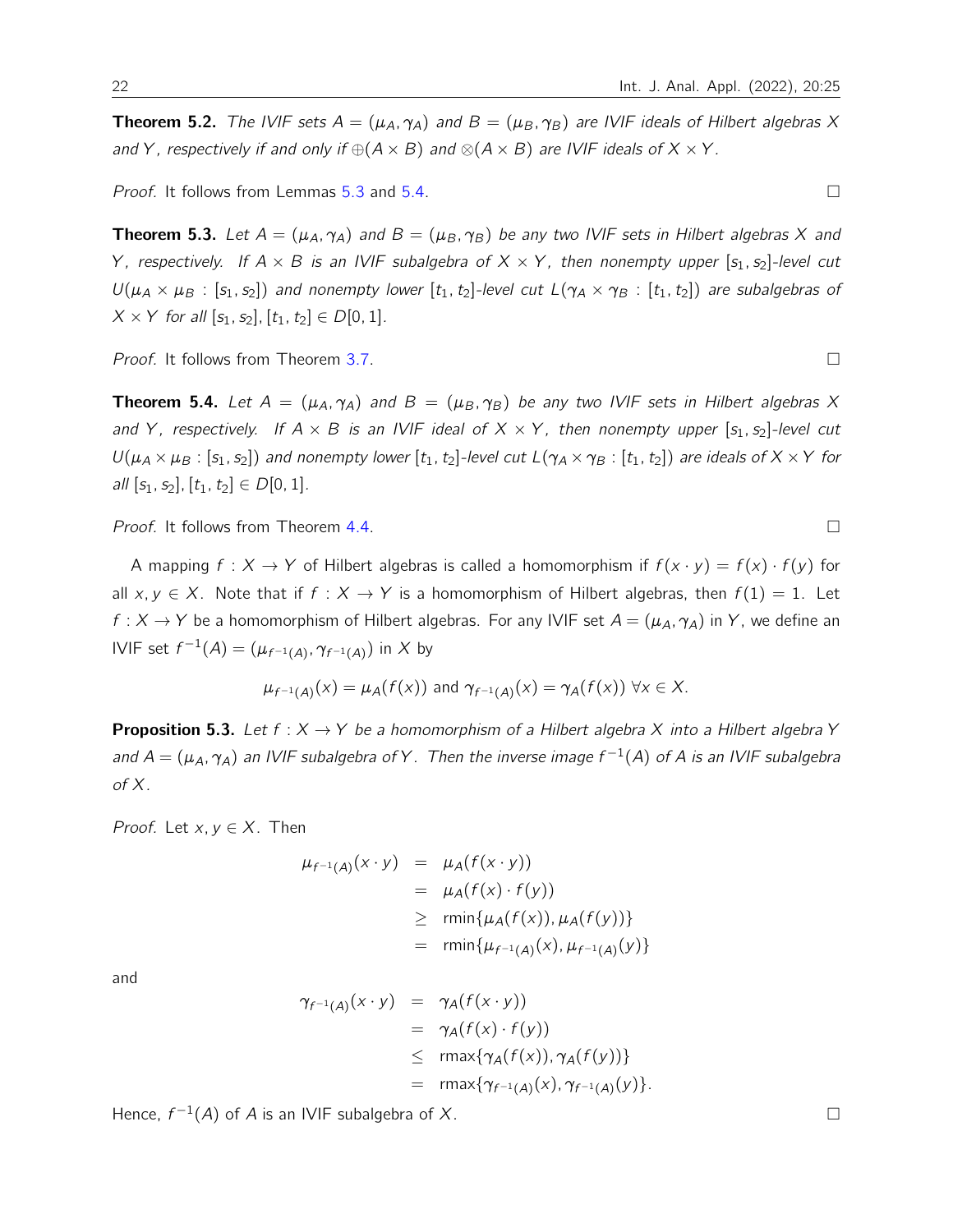**Theorem 5.2.** The IVIF sets  $A = (\mu_A, \gamma_A)$  and  $B = (\mu_B, \gamma_B)$  are IVIF ideals of Hilbert algebras X and Y, respectively if and only if  $\oplus(A \times B)$  and  $\otimes(A \times B)$  are IVIF ideals of  $X \times Y$ .

Proof. It follows from Lemmas [5.3](#page-19-0) and [5.4.](#page-20-0)

**Theorem 5.3.** Let  $A = (\mu_A, \gamma_A)$  and  $B = (\mu_B, \gamma_B)$  be any two IVIF sets in Hilbert algebras X and Y, respectively. If  $A \times B$  is an IVIF subalgebra of  $X \times Y$ , then nonempty upper  $[s_1, s_2]$ -level cut  $U(\mu_A \times \mu_B : [s_1, s_2])$  and nonempty lower  $[t_1, t_2]$ -level cut  $L(\gamma_A \times \gamma_B : [t_1, t_2])$  are subalgebras of  $X \times Y$  for all  $[s_1, s_2]$ ,  $[t_1, t_2] \in D[0, 1]$ .

Proof. It follows from Theorem [3.7.](#page-7-0)

**Theorem 5.4.** Let  $A = (\mu_A, \gamma_A)$  and  $B = (\mu_B, \gamma_B)$  be any two IVIF sets in Hilbert algebras X and Y, respectively. If  $A \times B$  is an IVIF ideal of  $X \times Y$ , then nonempty upper  $[s_1, s_2]$ -level cut  $U(\mu_A \times \mu_B : [s_1, s_2])$  and nonempty lower  $[t_1, t_2]$ -level cut  $L(\gamma_A \times \gamma_B : [t_1, t_2])$  are ideals of  $X \times Y$  for all  $[s_1, s_2], [t_1, t_2] \in D[0, 1].$ 

*Proof.* It follows from Theorem [4.4.](#page-15-0)  $\square$ 

A mapping  $f : X \to Y$  of Hilbert algebras is called a homomorphism if  $f(x \cdot y) = f(x) \cdot f(y)$  for all  $x, y \in X$ . Note that if  $f : X \to Y$  is a homomorphism of Hilbert algebras, then  $f(1) = 1$ . Let  $f: X \to Y$  be a homomorphism of Hilbert algebras. For any IVIF set  $A = (\mu_A, \gamma_A)$  in Y, we define an IVIF set  $f^{-1}(A) = (\mu_{f^{-1}(A)}, \gamma_{f^{-1}(A)})$  in X by

$$
\mu_{f^{-1}(A)}(x) = \mu_A(f(x))
$$
 and  $\gamma_{f^{-1}(A)}(x) = \gamma_A(f(x)) \ \forall x \in X$ .

**Proposition 5.3.** Let  $f : X \rightarrow Y$  be a homomorphism of a Hilbert algebra X into a Hilbert algebra Y and  $A=(\mu_A, \gamma_A)$  an IVIF subalgebra of Y . Then the inverse image  $f^{-1}(A)$  of A is an IVIF subalgebra of X.

*Proof.* Let  $x, y \in X$ . Then

$$
\mu_{f^{-1}(A)}(x \cdot y) = \mu_A(f(x \cdot y))
$$
  
=  $\mu_A(f(x) \cdot f(y))$   
 $\ge \min{\mu_A(f(x)), \mu_A(f(y))}$   
=  $\min{\mu_{f^{-1}(A)}(x), \mu_{f^{-1}(A)}(y)}$ 

and

$$
\gamma_{f^{-1}(A)}(x \cdot y) = \gamma_A(f(x \cdot y))
$$
  
=  $\gamma_A(f(x) \cdot f(y))$   

$$
\leq \max{\gamma_A(f(x)), \gamma_A(f(y))}
$$
  
=  $\max{\gamma_{f^{-1}(A)}(x), \gamma_{f^{-1}(A)}(y)}.$ 

Hence,  $f^{-1}(A)$  of A is an IVIF subalgebra of X.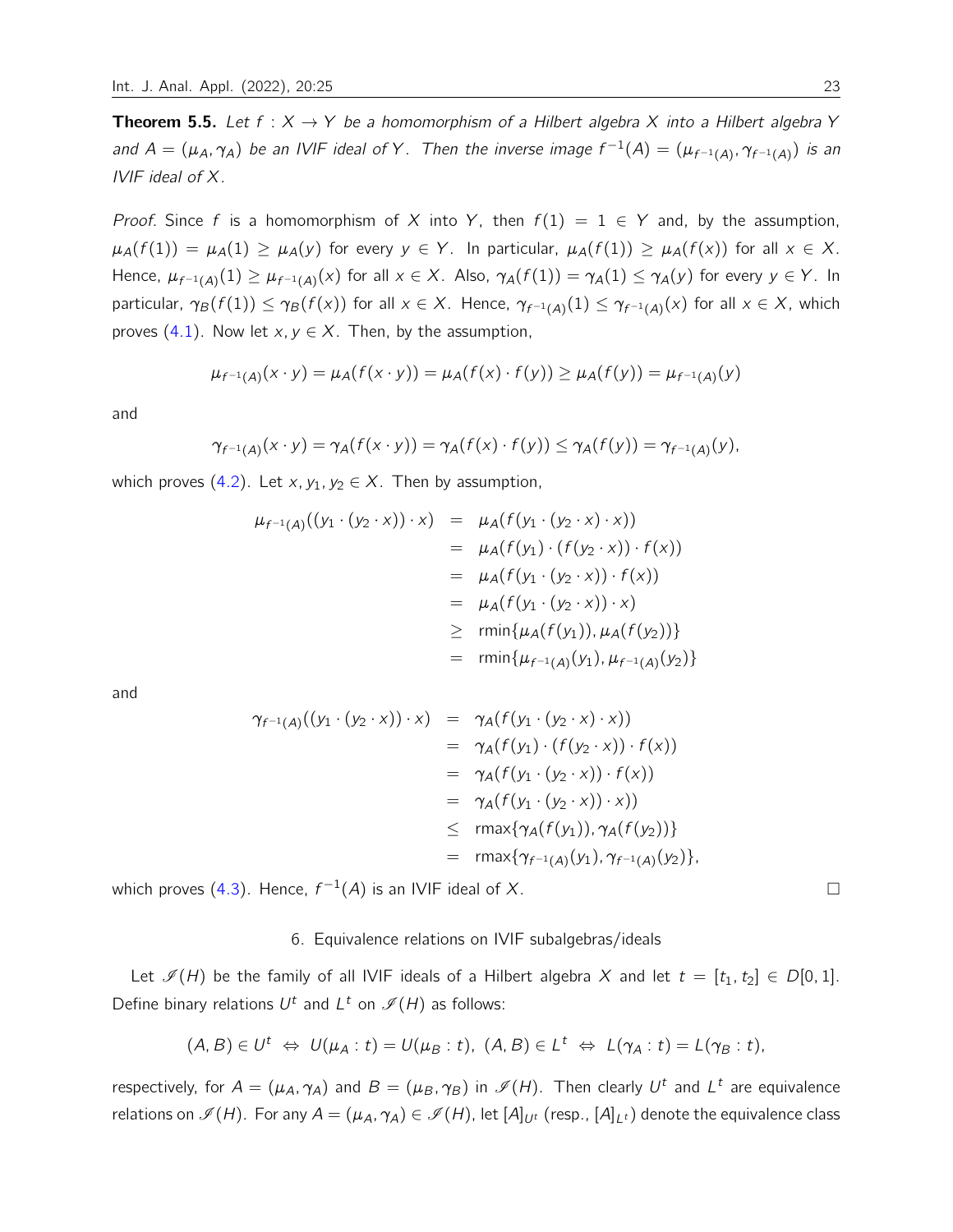**Theorem 5.5.** Let  $f : X \rightarrow Y$  be a homomorphism of a Hilbert algebra X into a Hilbert algebra Y and  $A=(\mu_A, \gamma_A)$  be an IVIF ideal of Y. Then the inverse image  $f^{-1}(A)=(\mu_{f^{-1}(A)}, \gamma_{f^{-1}(A)})$  is an IVIF ideal of X.

*Proof.* Since f is a homomorphism of X into Y, then  $f(1) = 1 \in Y$  and, by the assumption,  $\mu_A(f(1)) = \mu_A(1) \ge \mu_A(y)$  for every  $y \in Y$ . In particular,  $\mu_A(f(1)) \ge \mu_A(f(x))$  for all  $x \in X$ . Hence,  $\mu_{f^{-1}(A)}(1)\geq\mu_{f^{-1}(A)}(x)$  for all  $x\in X$ . Also,  $\gamma_A(f(1))=\gamma_A(1)\leq\gamma_A(y)$  for every  $y\in Y$ . In particular,  $\gamma_B(f(1))\le \gamma_B(f(x))$  for all  $x\in X$ . Hence,  $\gamma_{f^{-1}(A)}(1)\le \gamma_{f^{-1}(A)}(x)$  for all  $x\in X$ , which proves  $(4.1)$ . Now let  $x, y \in X$ . Then, by the assumption,

$$
\mu_{f^{-1}(A)}(x \cdot y) = \mu_A(f(x \cdot y)) = \mu_A(f(x) \cdot f(y)) \ge \mu_A(f(y)) = \mu_{f^{-1}(A)}(y)
$$

and

$$
\gamma_{f^{-1}(A)}(x \cdot y) = \gamma_A(f(x \cdot y)) = \gamma_A(f(x) \cdot f(y)) \leq \gamma_A(f(y)) = \gamma_{f^{-1}(A)}(y),
$$

which proves [\(4.2\)](#page-10-1). Let x,  $y_1, y_2 \in X$ . Then by assumption,

$$
\mu_{f^{-1}(A)}((y_1 \cdot (y_2 \cdot x)) \cdot x) = \mu_A(f(y_1 \cdot (y_2 \cdot x) \cdot x))
$$
  
\n
$$
= \mu_A(f(y_1) \cdot (f(y_2 \cdot x)) \cdot f(x))
$$
  
\n
$$
= \mu_A(f(y_1 \cdot (y_2 \cdot x)) \cdot f(x))
$$
  
\n
$$
= \mu_A(f(y_1 \cdot (y_2 \cdot x)) \cdot x)
$$
  
\n
$$
\ge \min{\mu_A(f(y_1)), \mu_A(f(y_2))}
$$
  
\n
$$
= \min{\mu_{f^{-1}(A)}(y_1), \mu_{f^{-1}(A)}(y_2)}
$$

and

$$
\gamma_{f^{-1}(A)}((y_1 \cdot (y_2 \cdot x)) \cdot x) = \gamma_A(f(y_1 \cdot (y_2 \cdot x) \cdot x))
$$
  
\n
$$
= \gamma_A(f(y_1) \cdot (f(y_2 \cdot x)) \cdot f(x))
$$
  
\n
$$
= \gamma_A(f(y_1 \cdot (y_2 \cdot x)) \cdot f(x))
$$
  
\n
$$
= \gamma_A(f(y_1 \cdot (y_2 \cdot x)) \cdot x))
$$
  
\n
$$
\leq \max\{\gamma_A(f(y_1)), \gamma_A(f(y_2))\}
$$
  
\n
$$
= \max\{\gamma_{f^{-1}(A)}(y_1), \gamma_{f^{-1}(A)}(y_2)\},
$$

which proves [\(4.3\)](#page-10-0). Hence,  $f^{-1}(A)$  is an IVIF ideal of X.

#### 6. Equivalence relations on IVIF subalgebras/ideals

Let  $\mathscr{I}(H)$  be the family of all IVIF ideals of a Hilbert algebra X and let  $t = [t_1, t_2] \in D[0, 1]$ . Define binary relations  $U^t$  and  $L^t$  on  $\mathscr{I}(H)$  as follows:

$$
(A, B) \in U^t \Leftrightarrow U(\mu_A : t) = U(\mu_B : t), (A, B) \in L^t \Leftrightarrow L(\gamma_A : t) = L(\gamma_B : t),
$$

respectively, for  $A=(\mu_A, \gamma_A)$  and  $B=(\mu_B, \gamma_B)$  in  $\mathscr{I}(H)$ . Then clearly  $U^t$  and  $L^t$  are equivalence relations on  $\mathscr{I}(H)$ . For any  $A = (\mu_A, \gamma_A) \in \mathscr{I}(H)$ , let  $[A]_{U^t}$  (resp.,  $[A]_{L^t}$ ) denote the equivalence class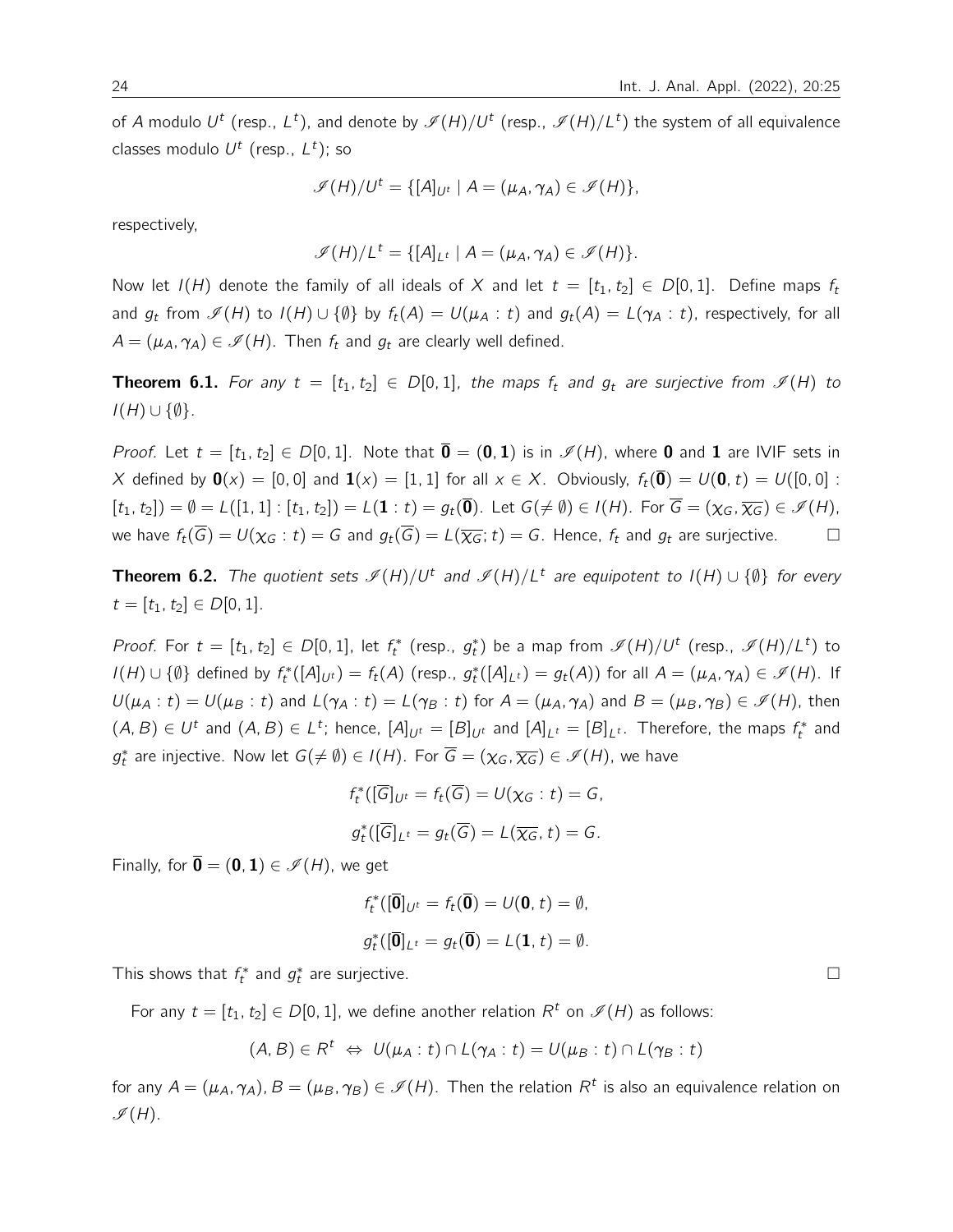of A modulo  $U^t$  (resp.,  $L^t$ ), and denote by  $\mathscr{I}(H)/U^t$  (resp.,  $\mathscr{I}(H)/L^t)$  the system of all equivalence classes modulo  $U^t$  (resp.,  $L^t$ ); so

$$
\mathscr{I}(H)/U^t = \{[A]_{U^t} \mid A = (\mu_A, \gamma_A) \in \mathscr{I}(H)\},
$$

respectively,

$$
\mathscr{I}(H)/L^t = \{ [A]_{L^t} \mid A = (\mu_A, \gamma_A) \in \mathscr{I}(H) \}.
$$

Now let  $I(H)$  denote the family of all ideals of X and let  $t = [t_1, t_2] \in D[0, 1]$ . Define maps  $f_t$ and  $g_t$  from  $\mathscr{I}(H)$  to  $I(H) \cup \{\emptyset\}$  by  $f_t(A) = U(\mu_A : t)$  and  $g_t(A) = L(\gamma_A : t)$ , respectively, for all  $A = (\mu_A, \gamma_A) \in \mathcal{I}(H)$ . Then  $f_t$  and  $g_t$  are clearly well defined.

**Theorem 6.1.** For any  $t = [t_1, t_2] \in D[0, 1]$ , the maps  $f_t$  and  $g_t$  are surjective from  $\mathscr{I}(H)$  to  $I(H) \cup \{\emptyset\}.$ 

*Proof.* Let  $t = [t_1, t_2] \in D[0, 1]$ . Note that  $\overline{\mathbf{0}} = (\mathbf{0}, \mathbf{1})$  is in  $\mathcal{I}(H)$ , where **0** and **1** are IVIF sets in X defined by  $\mathbf{0}(x) = [0,0]$  and  $\mathbf{1}(x) = [1,1]$  for all  $x \in X$ . Obviously,  $f_t(\overline{\mathbf{0}}) = U(\mathbf{0},t) = U([0,0]$ :  $[t_1, t_2] = \emptyset = L([1, 1] : [t_1, t_2]) = L(\mathbf{1} : t) = g_t(\overline{\mathbf{0}}).$  Let  $G(\neq \emptyset) \in I(H)$ . For  $\overline{G} = (\chi_G, \overline{\chi_G}) \in \mathcal{I}(H)$ , we have  $f_t(\overline{G}) = U(\chi_G : t) = G$  and  $g_t(\overline{G}) = L(\overline{\chi_G}; t) = G$ . Hence,  $f_t$  and  $g_t$  are surjective.

**Theorem 6.2.** The quotient sets  $\mathcal{I}(H)/U^t$  and  $\mathcal{I}(H)/L^t$  are equipotent to  $I(H) \cup \{\emptyset\}$  for every  $t = [t_1, t_2] \in D[0, 1].$ 

*Proof.* For  $t = [t_1, t_2] \in D[0, 1]$ , let  $f_t^*$  (resp.,  $g_t^*$ ) be a map from  $\mathscr{I}(H)/U^t$  (resp.,  $\mathscr{I}(H)/L^t$ ) to  $I(H) \cup \{\emptyset\}$  defined by  $f_t^*([A]_{U^t}) = f_t(A)$  (resp.,  $g_t^*([A]_{L^t}) = g_t(A)$ ) for all  $A = (\mu_A, \gamma_A) \in \mathcal{I}(H)$ . If  $U(\mu_A : t) = U(\mu_B : t)$  and  $L(\gamma_A : t) = L(\gamma_B : t)$  for  $A = (\mu_A, \gamma_A)$  and  $B = (\mu_B, \gamma_B) \in \mathcal{I}(H)$ , then  $(A, B) \in U^t$  and  $(A, B) \in L^t$ ; hence,  $[A]_{U^t} = [B]_{U^t}$  and  $[A]_{L^t} = [B]_{L^t}$ . Therefore, the maps  $f_t^*$  and  $g_t^*$  are injective. Now let  $G (\neq \emptyset) \in I(H)$ . For  $\overline{G} = (\chi_G, \overline{\chi_G}) \in \mathscr{I}(H)$ , we have

$$
f_t^*([\overline{G}]_{U^t} = f_t(\overline{G}) = U(\chi_G : t) = G,
$$
  

$$
g_t^*([\overline{G}]_{L^t} = g_t(\overline{G}) = L(\overline{\chi_G}, t) = G.
$$

Finally, for  $\overline{\mathbf{0}} = (\mathbf{0}, \mathbf{1}) \in \mathscr{I}(H)$ , we get

$$
f_t^*(\overline{\mathbf{[0]}}_{U^t} = f_t(\overline{\mathbf{0}}) = U(\mathbf{0}, t) = \emptyset,
$$
  

$$
g_t^*(\overline{\mathbf{[0]}}_{L^t} = g_t(\overline{\mathbf{0}}) = L(\mathbf{1}, t) = \emptyset.
$$

This shows that  $f_t^*$  and  $g_t^*$  are surjective.

For any  $t = [t_1, t_2] \in D[0, 1]$ , we define another relation  $R^t$  on  $\mathscr{I}(H)$  as follows:

$$
(A, B) \in R^t \Leftrightarrow U(\mu_A : t) \cap L(\gamma_A : t) = U(\mu_B : t) \cap L(\gamma_B : t)
$$

for any  $A=(\mu_A,\gamma_A)$ ,  $B=(\mu_B,\gamma_B)\in\mathscr{I}(H)$ . Then the relation  $R^t$  is also an equivalence relation on  $\mathscr{I}(H)$ .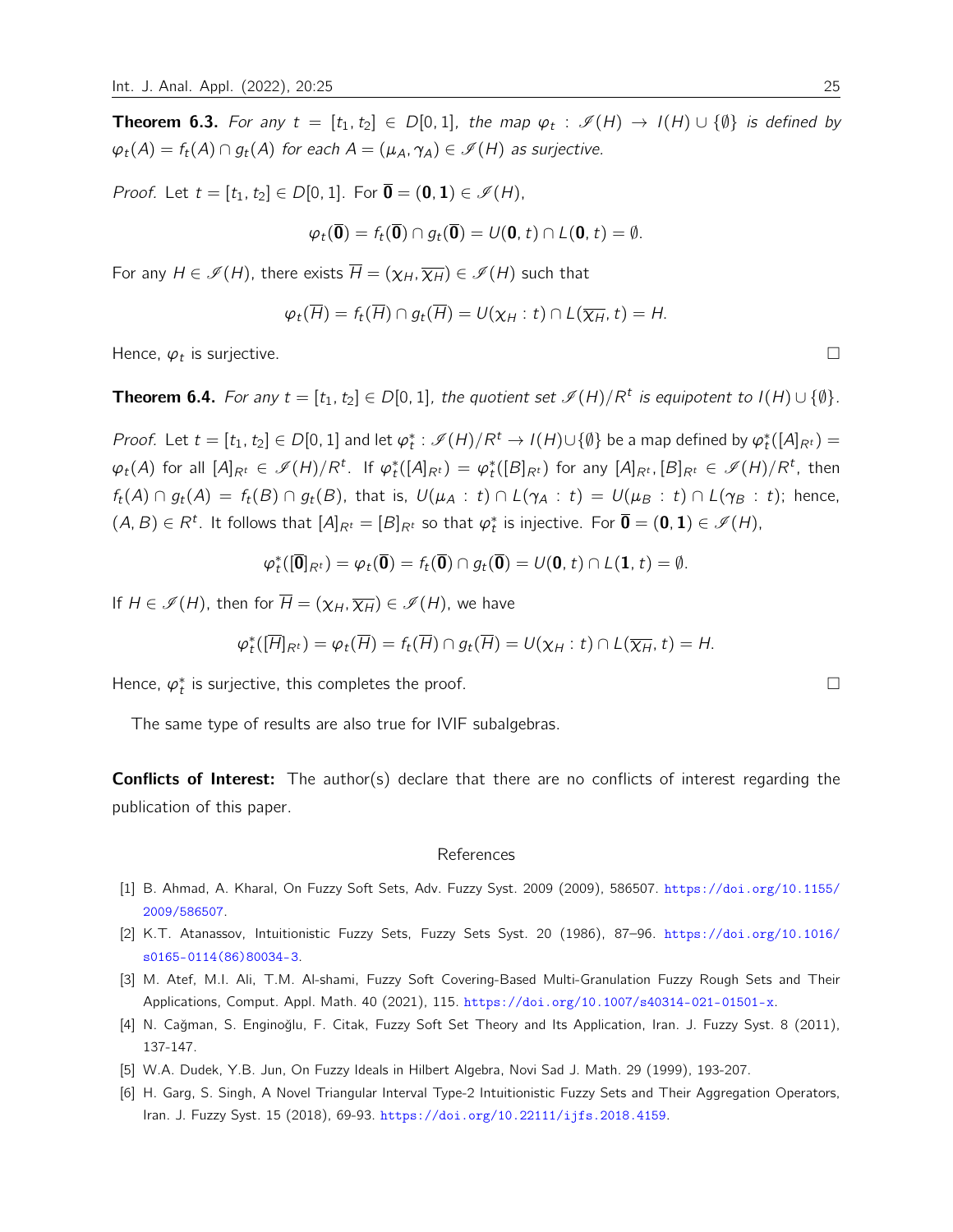**Theorem 6.3.** For any  $t = [t_1, t_2] \in D[0, 1]$ , the map  $\varphi_t : \mathscr{I}(H) \to I(H) \cup \{\emptyset\}$  is defined by  $\varphi_t(A) = f_t(A) \cap g_t(A)$  for each  $A = (\mu_A, \gamma_A) \in \mathscr{I}(H)$  as surjective.

*Proof.* Let  $t = [t_1, t_2] \in D[0, 1]$ . For  $\overline{\mathbf{0}} = (\mathbf{0}, \mathbf{1}) \in \mathcal{I}(H)$ ,

$$
\varphi_t(\overline{\mathbf{0}}) = f_t(\overline{\mathbf{0}}) \cap g_t(\overline{\mathbf{0}}) = U(\mathbf{0}, t) \cap L(\mathbf{0}, t) = \emptyset.
$$

For any  $H \in \mathcal{I}(H)$ , there exists  $\overline{H} = (\chi_H, \overline{\chi_H}) \in \mathcal{I}(H)$  such that

$$
\varphi_t(\overline{H})=f_t(\overline{H})\cap g_t(\overline{H})=U(\chi_H:t)\cap L(\overline{\chi_H},t)=H.
$$

Hence,  $\varphi_t$  is surjective.

**Theorem 6.4.** For any  $t = [t_1, t_2] \in D[0, 1]$ , the quotient set  $\mathscr{I}(H)/R^t$  is equipotent to  $I(H) \cup \{\emptyset\}$ .

Proof. Let  $t=[t_1,t_2]\in D[0,1]$  and let  $\varphi_t^*: \mathscr{I}(H)/R^t\to I(H)\cup \{\emptyset\}$  be a map defined by  $\varphi_t^*([A]_{R^t})=$  $\varphi_t(A)$  for all  $[A]_{R^t} \in \mathscr{I}(H)/R^t$ . If  $\varphi_t^*([A]_{R^t}) = \varphi_t^*([B]_{R^t})$  for any  $[A]_{R^t}, [B]_{R^t} \in \mathscr{I}(H)/R^t$ , then  $f_t(A) \cap g_t(A) = f_t(B) \cap g_t(B)$ , that is,  $U(\mu_A : t) \cap L(\gamma_A : t) = U(\mu_B : t) \cap L(\gamma_B : t)$ ; hence,  $(A, B) \in R^t$ . It follows that  $[A]_{R^t} = [B]_{R^t}$  so that  $\varphi_t^*$  is injective. For  $\overline{\mathbf{0}} = (\mathbf{0}, \mathbf{1}) \in \mathscr{I}(H)$ ,

$$
\varphi_t^*([\overline{\mathbf{0}}]_{R^t}) = \varphi_t(\overline{\mathbf{0}}) = f_t(\overline{\mathbf{0}}) \cap g_t(\overline{\mathbf{0}}) = U(\mathbf{0}, t) \cap L(\mathbf{1}, t) = \emptyset.
$$

If  $H \in \mathcal{I}(H)$ , then for  $\overline{H} = (\chi_H, \overline{\chi_H}) \in \mathcal{I}(H)$ , we have

$$
\varphi_t^*([\overline{H}]_{R^t}) = \varphi_t(\overline{H}) = f_t(\overline{H}) \cap g_t(\overline{H}) = U(\chi_H : t) \cap L(\overline{\chi_H}, t) = H.
$$

Hence,  $\varphi_t^*$  is surjective, this completes the proof.  $\Box$ 

The same type of results are also true for IVIF subalgebras.

**Conflicts of Interest:** The author(s) declare that there are no conflicts of interest regarding the publication of this paper.

#### References

- <span id="page-24-0"></span>[1] B. Ahmad, A. Kharal, On Fuzzy Soft Sets, Adv. Fuzzy Syst. 2009 (2009), 586507. [https://doi.org/10.1155/](https://doi.org/10.1155/2009/586507) [2009/586507](https://doi.org/10.1155/2009/586507).
- <span id="page-24-3"></span>[2] K.T. Atanassov, Intuitionistic Fuzzy Sets, Fuzzy Sets Syst. 20 (1986), 87–96. [https://doi.org/10.1016/](https://doi.org/10.1016/s0165-0114(86)80034-3) [s0165-0114\(86\)80034-3](https://doi.org/10.1016/s0165-0114(86)80034-3).
- <span id="page-24-1"></span>[3] M. Atef, M.I. Ali, T.M. Al-shami, Fuzzy Soft Covering-Based Multi-Granulation Fuzzy Rough Sets and Their Applications, Comput. Appl. Math. 40 (2021), 115. <https://doi.org/10.1007/s40314-021-01501-x>.
- <span id="page-24-2"></span>[4] N. Cağman, S. Enginoğlu, F. Citak, Fuzzy Soft Set Theory and Its Application, Iran. J. Fuzzy Syst. 8 (2011), 137-147.
- <span id="page-24-5"></span>[5] W.A. Dudek, Y.B. Jun, On Fuzzy Ideals in Hilbert Algebra, Novi Sad J. Math. 29 (1999), 193-207.
- <span id="page-24-4"></span>[6] H. Garg, S. Singh, A Novel Triangular Interval Type-2 Intuitionistic Fuzzy Sets and Their Aggregation Operators, Iran. J. Fuzzy Syst. 15 (2018), 69-93. <https://doi.org/10.22111/ijfs.2018.4159>.